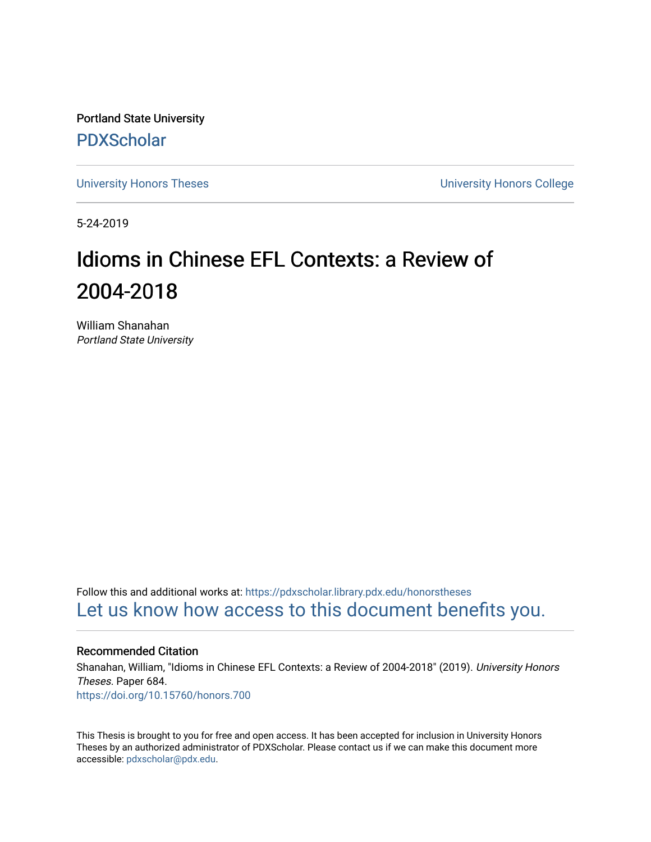Portland State University [PDXScholar](https://pdxscholar.library.pdx.edu/)

[University Honors Theses](https://pdxscholar.library.pdx.edu/honorstheses) [University Honors College](https://pdxscholar.library.pdx.edu/honors) 

5-24-2019

# Idioms in Chinese EFL Contexts: a Review of 2004-2018

William Shanahan Portland State University

Follow this and additional works at: [https://pdxscholar.library.pdx.edu/honorstheses](https://pdxscholar.library.pdx.edu/honorstheses?utm_source=pdxscholar.library.pdx.edu%2Fhonorstheses%2F684&utm_medium=PDF&utm_campaign=PDFCoverPages)  [Let us know how access to this document benefits you.](http://library.pdx.edu/services/pdxscholar-services/pdxscholar-feedback/) 

#### Recommended Citation

Shanahan, William, "Idioms in Chinese EFL Contexts: a Review of 2004-2018" (2019). University Honors Theses. Paper 684. <https://doi.org/10.15760/honors.700>

This Thesis is brought to you for free and open access. It has been accepted for inclusion in University Honors Theses by an authorized administrator of PDXScholar. Please contact us if we can make this document more accessible: [pdxscholar@pdx.edu.](mailto:pdxscholar@pdx.edu)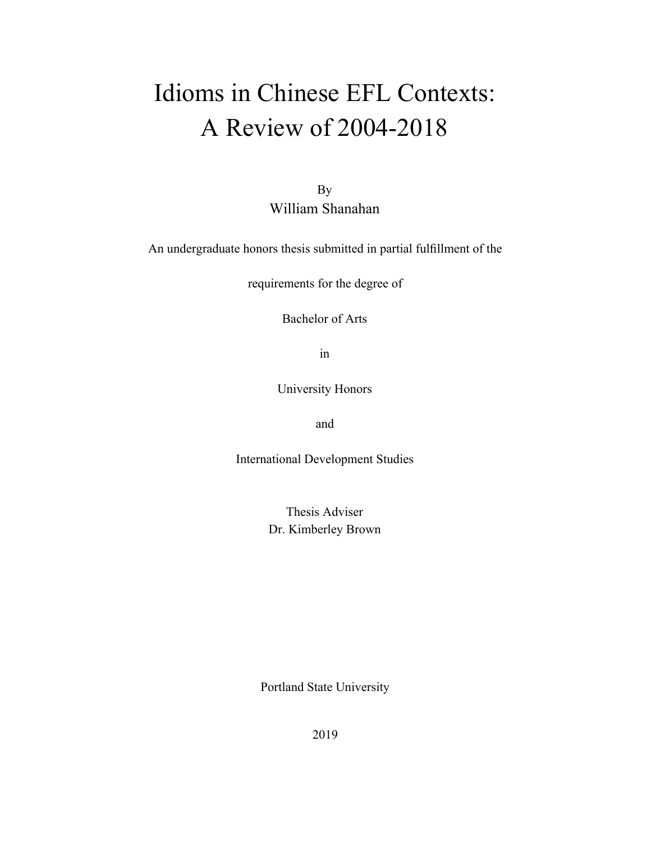# Idioms in Chinese EFL Contexts: A Review of 2004-2018

By William Shanahan

An undergraduate honors thesis submitted in partial fulllment of the

requirements for the degree of

Bachelor of Arts

in

University Honors

and

International Development Studies

Thesis Adviser Dr. Kimberley Brown

Portland State University

2019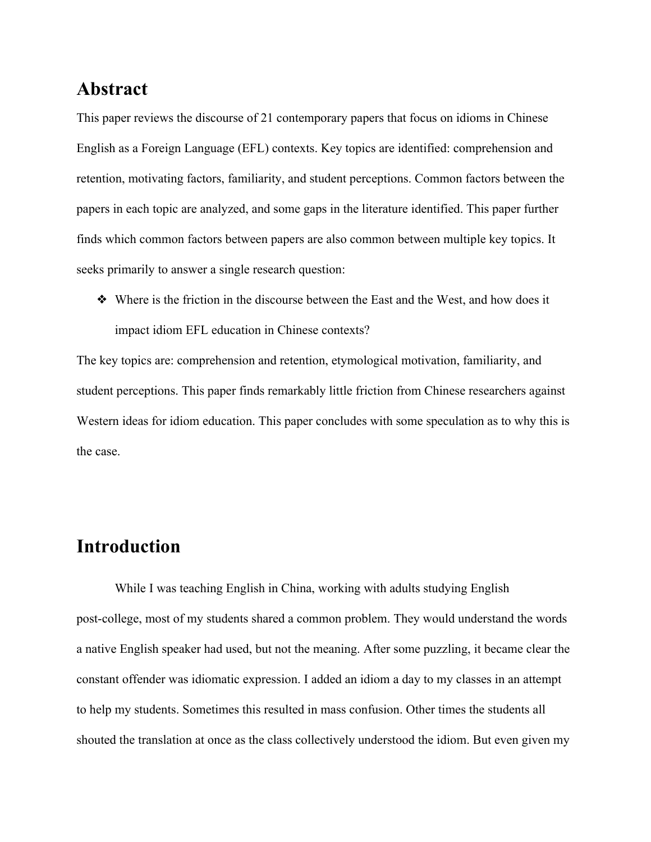## **Abstract**

This paper reviews the discourse of 21 contemporary papers that focus on idioms in Chinese English as a Foreign Language (EFL) contexts. Key topics are identified: comprehension and retention, motivating factors, familiarity, and student perceptions. Common factors between the papers in each topic are analyzed, and some gaps in the literature identified. This paper further finds which common factors between papers are also common between multiple key topics. It seeks primarily to answer a single research question:

❖ Where is the friction in the discourse between the East and the West, and how does it impact idiom EFL education in Chinese contexts?

The key topics are: comprehension and retention, etymological motivation, familiarity, and student perceptions. This paper finds remarkably little friction from Chinese researchers against Western ideas for idiom education. This paper concludes with some speculation as to why this is the case.

# **Introduction**

While I was teaching English in China, working with adults studying English post-college, most of my students shared a common problem. They would understand the words a native English speaker had used, but not the meaning. After some puzzling, it became clear the constant offender was idiomatic expression. I added an idiom a day to my classes in an attempt to help my students. Sometimes this resulted in mass confusion. Other times the students all shouted the translation at once as the class collectively understood the idiom. But even given my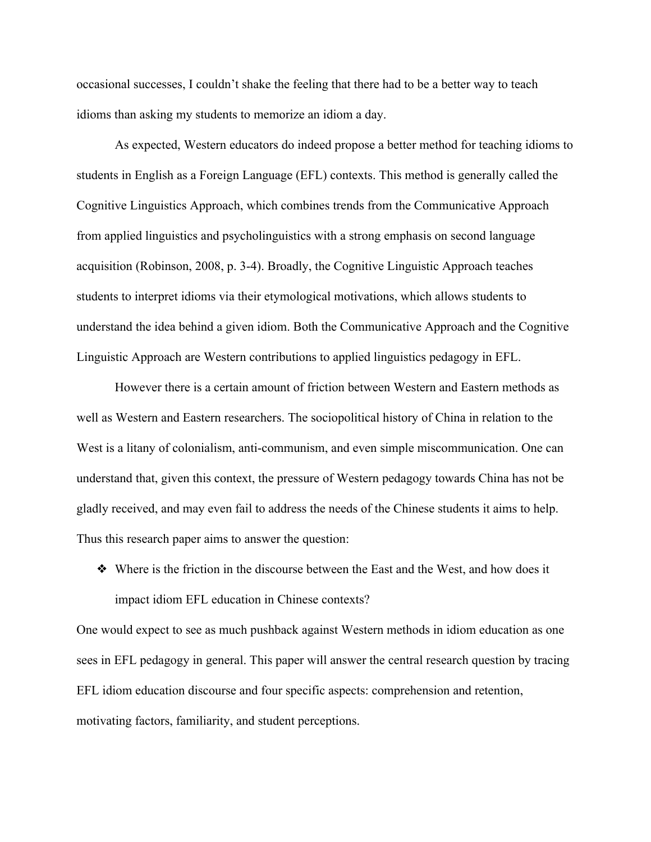occasional successes, I couldn't shake the feeling that there had to be a better way to teach idioms than asking my students to memorize an idiom a day.

As expected, Western educators do indeed propose a better method for teaching idioms to students in English as a Foreign Language (EFL) contexts. This method is generally called the Cognitive Linguistics Approach, which combines trends from the Communicative Approach from applied linguistics and psycholinguistics with a strong emphasis on second language acquisition (Robinson, 2008, p. 3-4). Broadly, the Cognitive Linguistic Approach teaches students to interpret idioms via their etymological motivations, which allows students to understand the idea behind a given idiom. Both the Communicative Approach and the Cognitive Linguistic Approach are Western contributions to applied linguistics pedagogy in EFL.

However there is a certain amount of friction between Western and Eastern methods as well as Western and Eastern researchers. The sociopolitical history of China in relation to the West is a litany of colonialism, anti-communism, and even simple miscommunication. One can understand that, given this context, the pressure of Western pedagogy towards China has not be gladly received, and may even fail to address the needs of the Chinese students it aims to help. Thus this research paper aims to answer the question:

❖ Where is the friction in the discourse between the East and the West, and how does it impact idiom EFL education in Chinese contexts?

One would expect to see as much pushback against Western methods in idiom education as one sees in EFL pedagogy in general. This paper will answer the central research question by tracing EFL idiom education discourse and four specific aspects: comprehension and retention, motivating factors, familiarity, and student perceptions.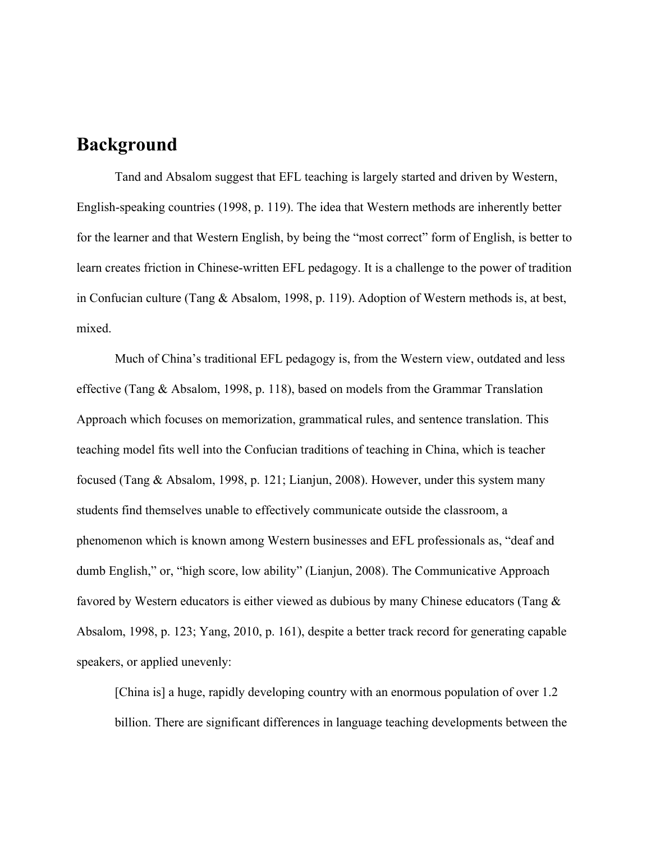### **Background**

Tand and Absalom suggest that EFL teaching is largely started and driven by Western, English-speaking countries (1998, p. 119). The idea that Western methods are inherently better for the learner and that Western English, by being the "most correct" form of English, is better to learn creates friction in Chinese-written EFL pedagogy. It is a challenge to the power of tradition in Confucian culture (Tang & Absalom, 1998, p. 119). Adoption of Western methods is, at best, mixed.

Much of China's traditional EFL pedagogy is, from the Western view, outdated and less effective (Tang & Absalom, 1998, p. 118), based on models from the Grammar Translation Approach which focuses on memorization, grammatical rules, and sentence translation. This teaching model fits well into the Confucian traditions of teaching in China, which is teacher focused (Tang & Absalom, 1998, p. 121; Lianjun, 2008). However, under this system many students find themselves unable to effectively communicate outside the classroom, a phenomenon which is known among Western businesses and EFL professionals as, "deaf and dumb English," or, "high score, low ability" (Lianjun, 2008). The Communicative Approach favored by Western educators is either viewed as dubious by many Chinese educators (Tang & Absalom, 1998, p. 123; Yang, 2010, p. 161), despite a better track record for generating capable speakers, or applied unevenly:

[China is] a huge, rapidly developing country with an enormous population of over 1.2 billion. There are significant differences in language teaching developments between the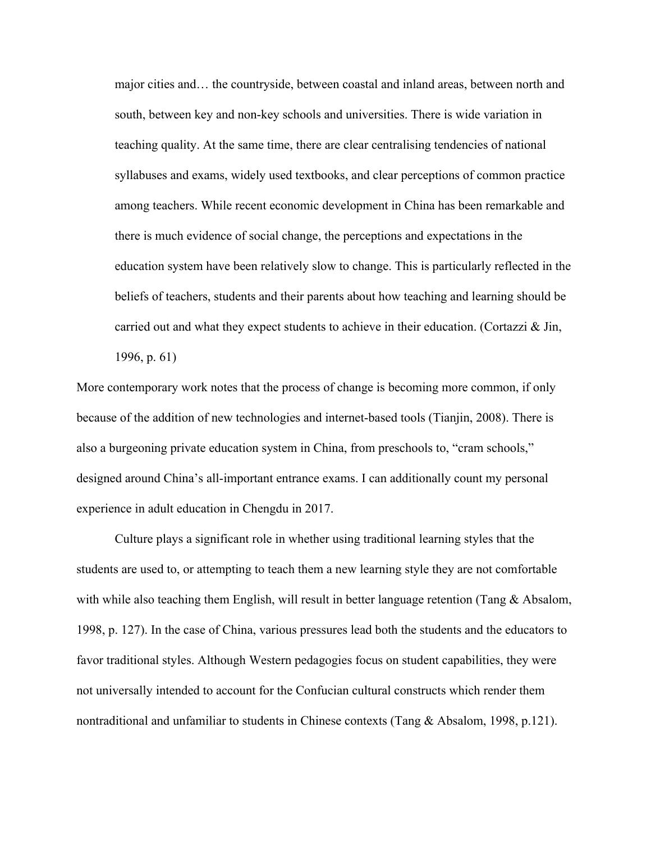major cities and… the countryside, between coastal and inland areas, between north and south, between key and non-key schools and universities. There is wide variation in teaching quality. At the same time, there are clear centralising tendencies of national syllabuses and exams, widely used textbooks, and clear perceptions of common practice among teachers. While recent economic development in China has been remarkable and there is much evidence of social change, the perceptions and expectations in the education system have been relatively slow to change. This is particularly reflected in the beliefs of teachers, students and their parents about how teaching and learning should be carried out and what they expect students to achieve in their education. (Cortazzi & Jin, 1996, p. 61)

More contemporary work notes that the process of change is becoming more common, if only because of the addition of new technologies and internet-based tools (Tianjin, 2008). There is also a burgeoning private education system in China, from preschools to, "cram schools," designed around China's all-important entrance exams. I can additionally count my personal experience in adult education in Chengdu in 2017.

Culture plays a significant role in whether using traditional learning styles that the students are used to, or attempting to teach them a new learning style they are not comfortable with while also teaching them English, will result in better language retention (Tang & Absalom, 1998, p. 127). In the case of China, various pressures lead both the students and the educators to favor traditional styles. Although Western pedagogies focus on student capabilities, they were not universally intended to account for the Confucian cultural constructs which render them nontraditional and unfamiliar to students in Chinese contexts (Tang & Absalom, 1998, p.121).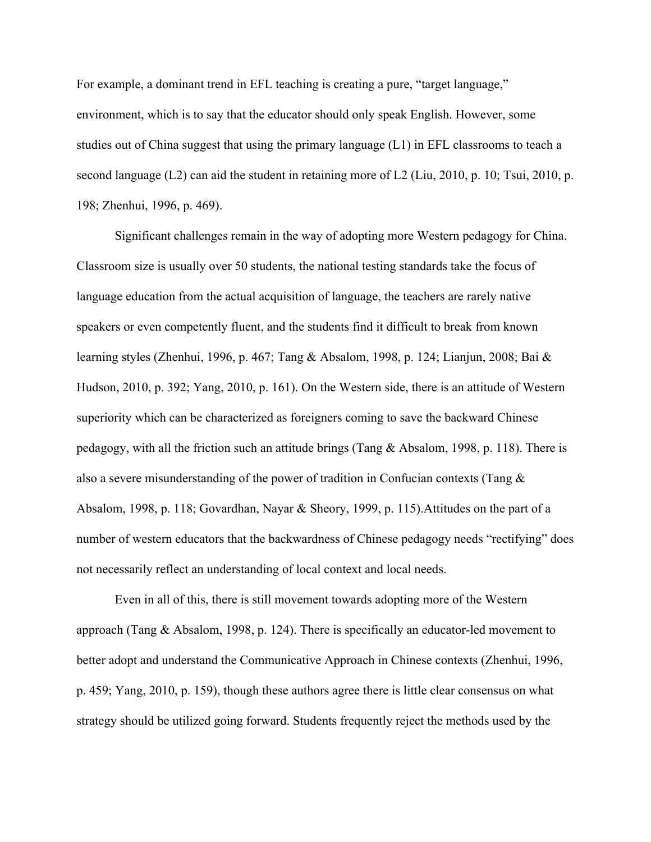For example, a dominant trend in EFL teaching is creating a pure, "target language," environment, which is to say that the educator should only speak English. However, some studies out of China suggest that using the primary language (L1) in EFL classrooms to teach a second language (L2) can aid the student in retaining more of L2 (Liu, 2010, p. 10; Tsui, 2010, p. 198; Zhenhui, 1996, p. 469).

Significant challenges remain in the way of adopting more Western pedagogy for China. Classroom size is usually over 50 students, the national testing standards take the focus of language education from the actual acquisition of language, the teachers are rarely native speakers or even competently fluent, and the students find it difficult to break from known learning styles (Zhenhui, 1996, p. 467; Tang & Absalom, 1998, p. 124; Lianjun, 2008; Bai & Hudson, 2010, p. 392; Yang, 2010, p. 161). On the Western side, there is an attitude of Western superiority which can be characterized as foreigners coming to save the backward Chinese pedagogy, with all the friction such an attitude brings (Tang  $\&$  Absalom, 1998, p. 118). There is also a severe misunderstanding of the power of tradition in Confucian contexts (Tang & Absalom, 1998, p. 118; Govardhan, Nayar & Sheory, 1999, p. 115).Attitudes on the part of a number of western educators that the backwardness of Chinese pedagogy needs "rectifying" does not necessarily reflect an understanding of local context and local needs.

Even in all of this, there is still movement towards adopting more of the Western approach (Tang & Absalom, 1998, p. 124). There is specifically an educator-led movement to better adopt and understand the Communicative Approach in Chinese contexts (Zhenhui, 1996, p. 459; Yang, 2010, p. 159), though these authors agree there is little clear consensus on what strategy should be utilized going forward. Students frequently reject the methods used by the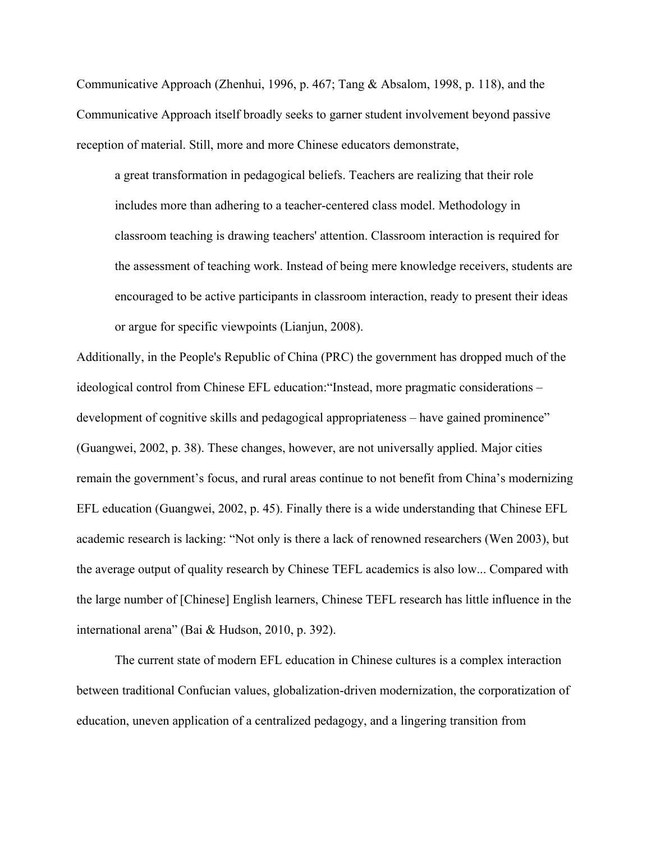Communicative Approach (Zhenhui, 1996, p. 467; Tang & Absalom, 1998, p. 118), and the Communicative Approach itself broadly seeks to garner student involvement beyond passive reception of material. Still, more and more Chinese educators demonstrate,

a great transformation in pedagogical beliefs. Teachers are realizing that their role includes more than adhering to a teacher-centered class model. Methodology in classroom teaching is drawing teachers' attention. Classroom interaction is required for the assessment of teaching work. Instead of being mere knowledge receivers, students are encouraged to be active participants in classroom interaction, ready to present their ideas or argue for specific viewpoints (Lianjun, 2008).

Additionally, in the People's Republic of China (PRC) the government has dropped much of the ideological control from Chinese EFL education:"Instead, more pragmatic considerations – development of cognitive skills and pedagogical appropriateness – have gained prominence" (Guangwei, 2002, p. 38). These changes, however, are not universally applied. Major cities remain the government's focus, and rural areas continue to not benefit from China's modernizing EFL education (Guangwei, 2002, p. 45). Finally there is a wide understanding that Chinese EFL academic research is lacking: "Not only is there a lack of renowned researchers (Wen 2003), but the average output of quality research by Chinese TEFL academics is also low... Compared with the large number of [Chinese] English learners, Chinese TEFL research has little influence in the international arena" (Bai & Hudson, 2010, p. 392).

The current state of modern EFL education in Chinese cultures is a complex interaction between traditional Confucian values, globalization-driven modernization, the corporatization of education, uneven application of a centralized pedagogy, and a lingering transition from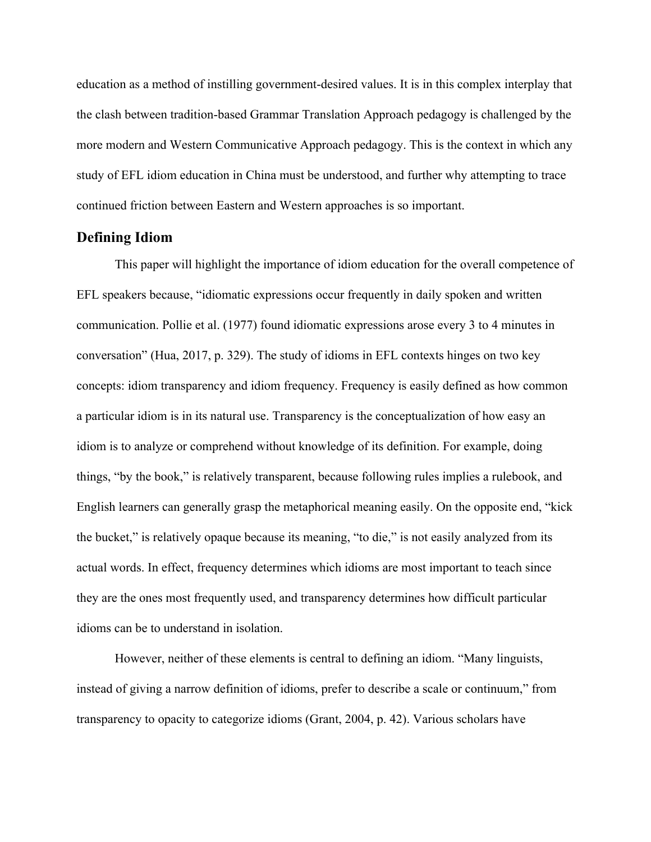education as a method of instilling government-desired values. It is in this complex interplay that the clash between tradition-based Grammar Translation Approach pedagogy is challenged by the more modern and Western Communicative Approach pedagogy. This is the context in which any study of EFL idiom education in China must be understood, and further why attempting to trace continued friction between Eastern and Western approaches is so important.

#### **Defining Idiom**

This paper will highlight the importance of idiom education for the overall competence of EFL speakers because, "idiomatic expressions occur frequently in daily spoken and written communication. Pollie et al. (1977) found idiomatic expressions arose every 3 to 4 minutes in conversation" (Hua, 2017, p. 329). The study of idioms in EFL contexts hinges on two key concepts: idiom transparency and idiom frequency. Frequency is easily defined as how common a particular idiom is in its natural use. Transparency is the conceptualization of how easy an idiom is to analyze or comprehend without knowledge of its definition. For example, doing things, "by the book," is relatively transparent, because following rules implies a rulebook, and English learners can generally grasp the metaphorical meaning easily. On the opposite end, "kick the bucket," is relatively opaque because its meaning, "to die," is not easily analyzed from its actual words. In effect, frequency determines which idioms are most important to teach since they are the ones most frequently used, and transparency determines how difficult particular idioms can be to understand in isolation.

However, neither of these elements is central to defining an idiom. "Many linguists, instead of giving a narrow definition of idioms, prefer to describe a scale or continuum," from transparency to opacity to categorize idioms (Grant, 2004, p. 42). Various scholars have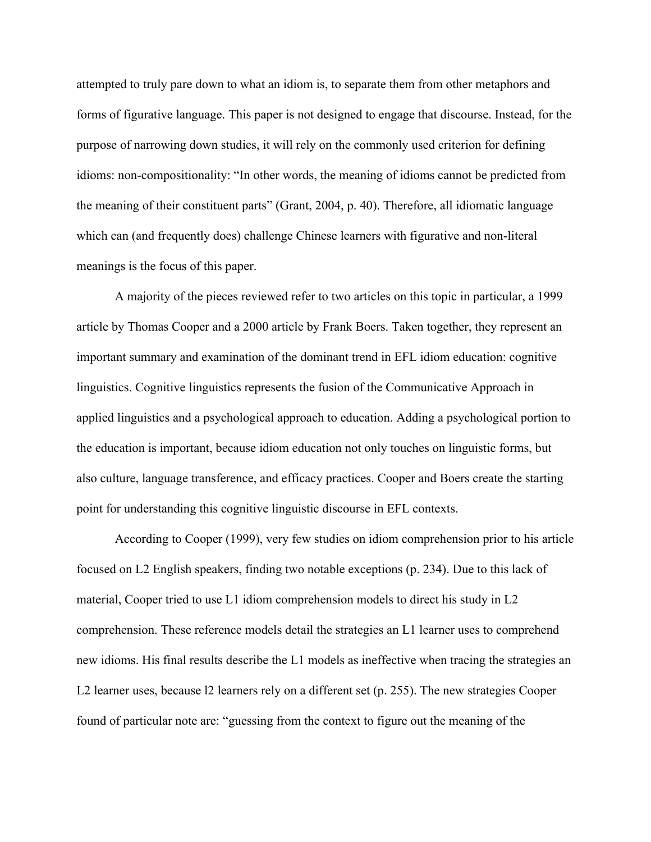attempted to truly pare down to what an idiom is, to separate them from other metaphors and forms of figurative language. This paper is not designed to engage that discourse. Instead, for the purpose of narrowing down studies, it will rely on the commonly used criterion for defining idioms: non-compositionality: "In other words, the meaning of idioms cannot be predicted from the meaning of their constituent parts" (Grant, 2004, p. 40). Therefore, all idiomatic language which can (and frequently does) challenge Chinese learners with figurative and non-literal meanings is the focus of this paper.

A majority of the pieces reviewed refer to two articles on this topic in particular, a 1999 article by Thomas Cooper and a 2000 article by Frank Boers. Taken together, they represent an important summary and examination of the dominant trend in EFL idiom education: cognitive linguistics. Cognitive linguistics represents the fusion of the Communicative Approach in applied linguistics and a psychological approach to education. Adding a psychological portion to the education is important, because idiom education not only touches on linguistic forms, but also culture, language transference, and efficacy practices. Cooper and Boers create the starting point for understanding this cognitive linguistic discourse in EFL contexts.

According to Cooper (1999), very few studies on idiom comprehension prior to his article focused on L2 English speakers, finding two notable exceptions (p. 234). Due to this lack of material, Cooper tried to use L1 idiom comprehension models to direct his study in L2 comprehension. These reference models detail the strategies an L1 learner uses to comprehend new idioms. His final results describe the L1 models as ineffective when tracing the strategies an L2 learner uses, because l2 learners rely on a different set (p. 255). The new strategies Cooper found of particular note are: "guessing from the context to figure out the meaning of the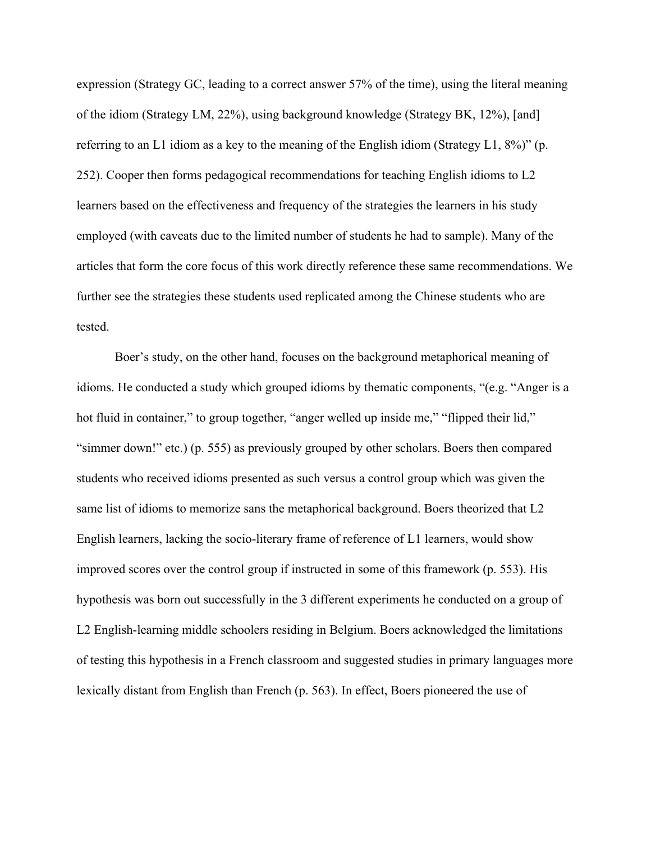expression (Strategy GC, leading to a correct answer 57% of the time), using the literal meaning of the idiom (Strategy LM, 22%), using background knowledge (Strategy BK, 12%), [and] referring to an L1 idiom as a key to the meaning of the English idiom (Strategy L1,  $8\%$ )" (p. 252). Cooper then forms pedagogical recommendations for teaching English idioms to L2 learners based on the effectiveness and frequency of the strategies the learners in his study employed (with caveats due to the limited number of students he had to sample). Many of the articles that form the core focus of this work directly reference these same recommendations. We further see the strategies these students used replicated among the Chinese students who are tested.

Boer's study, on the other hand, focuses on the background metaphorical meaning of idioms. He conducted a study which grouped idioms by thematic components, "(e.g. "Anger is a hot fluid in container," to group together, "anger welled up inside me," "flipped their lid," "simmer down!" etc.) (p. 555) as previously grouped by other scholars. Boers then compared students who received idioms presented as such versus a control group which was given the same list of idioms to memorize sans the metaphorical background. Boers theorized that L2 English learners, lacking the socio-literary frame of reference of L1 learners, would show improved scores over the control group if instructed in some of this framework (p. 553). His hypothesis was born out successfully in the 3 different experiments he conducted on a group of L2 English-learning middle schoolers residing in Belgium. Boers acknowledged the limitations of testing this hypothesis in a French classroom and suggested studies in primary languages more lexically distant from English than French (p. 563). In effect, Boers pioneered the use of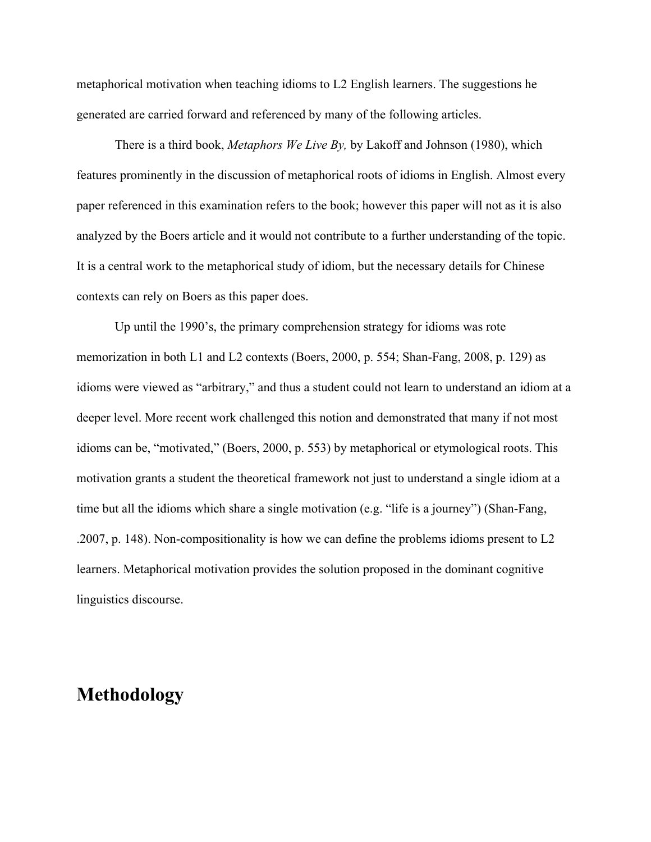metaphorical motivation when teaching idioms to L2 English learners. The suggestions he generated are carried forward and referenced by many of the following articles.

There is a third book, *Metaphors We Live By,* by Lakoff and Johnson (1980), which features prominently in the discussion of metaphorical roots of idioms in English. Almost every paper referenced in this examination refers to the book; however this paper will not as it is also analyzed by the Boers article and it would not contribute to a further understanding of the topic. It is a central work to the metaphorical study of idiom, but the necessary details for Chinese contexts can rely on Boers as this paper does.

Up until the 1990's, the primary comprehension strategy for idioms was rote memorization in both L1 and L2 contexts (Boers, 2000, p. 554; Shan-Fang, 2008, p. 129) as idioms were viewed as "arbitrary," and thus a student could not learn to understand an idiom at a deeper level. More recent work challenged this notion and demonstrated that many if not most idioms can be, "motivated," (Boers, 2000, p. 553) by metaphorical or etymological roots. This motivation grants a student the theoretical framework not just to understand a single idiom at a time but all the idioms which share a single motivation (e.g. "life is a journey") (Shan-Fang, .2007, p. 148). Non-compositionality is how we can define the problems idioms present to L2 learners. Metaphorical motivation provides the solution proposed in the dominant cognitive linguistics discourse.

### **Methodology**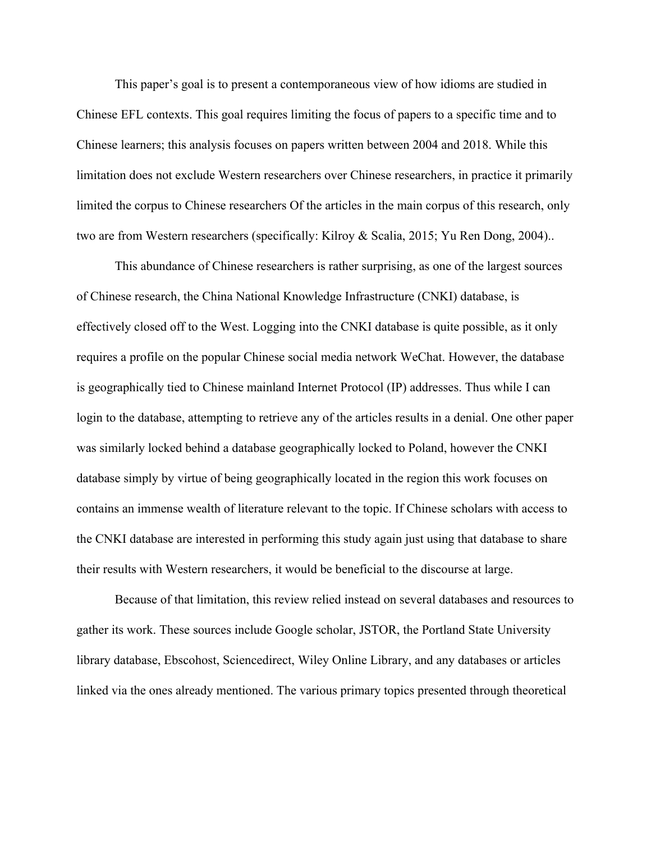This paper's goal is to present a contemporaneous view of how idioms are studied in Chinese EFL contexts. This goal requires limiting the focus of papers to a specific time and to Chinese learners; this analysis focuses on papers written between 2004 and 2018. While this limitation does not exclude Western researchers over Chinese researchers, in practice it primarily limited the corpus to Chinese researchers Of the articles in the main corpus of this research, only two are from Western researchers (specifically: Kilroy & Scalia, 2015; Yu Ren Dong, 2004)..

This abundance of Chinese researchers is rather surprising, as one of the largest sources of Chinese research, the China National Knowledge Infrastructure (CNKI) database, is effectively closed off to the West. Logging into the CNKI database is quite possible, as it only requires a profile on the popular Chinese social media network WeChat. However, the database is geographically tied to Chinese mainland Internet Protocol (IP) addresses. Thus while I can login to the database, attempting to retrieve any of the articles results in a denial. One other paper was similarly locked behind a database geographically locked to Poland, however the CNKI database simply by virtue of being geographically located in the region this work focuses on contains an immense wealth of literature relevant to the topic. If Chinese scholars with access to the CNKI database are interested in performing this study again just using that database to share their results with Western researchers, it would be beneficial to the discourse at large.

Because of that limitation, this review relied instead on several databases and resources to gather its work. These sources include Google scholar, JSTOR, the Portland State University library database, Ebscohost, Sciencedirect, Wiley Online Library, and any databases or articles linked via the ones already mentioned. The various primary topics presented through theoretical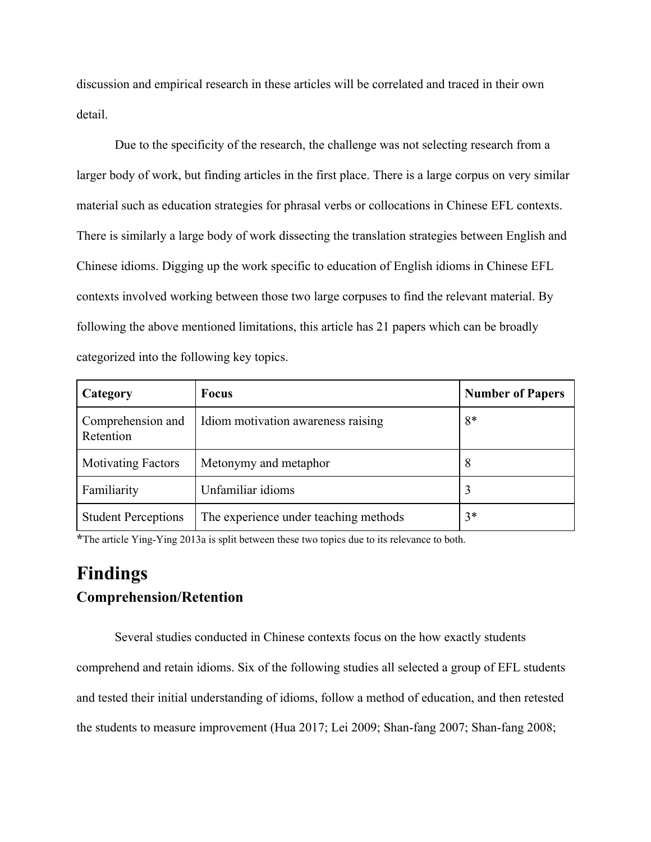discussion and empirical research in these articles will be correlated and traced in their own detail.

Due to the specificity of the research, the challenge was not selecting research from a larger body of work, but finding articles in the first place. There is a large corpus on very similar material such as education strategies for phrasal verbs or collocations in Chinese EFL contexts. There is similarly a large body of work dissecting the translation strategies between English and Chinese idioms. Digging up the work specific to education of English idioms in Chinese EFL contexts involved working between those two large corpuses to find the relevant material. By following the above mentioned limitations, this article has 21 papers which can be broadly categorized into the following key topics.

| Category                       | <b>Focus</b>                          | <b>Number of Papers</b> |
|--------------------------------|---------------------------------------|-------------------------|
| Comprehension and<br>Retention | Idiom motivation awareness raising    | 8*                      |
| <b>Motivating Factors</b>      | Metonymy and metaphor                 | 8                       |
| Familiarity                    | Unfamiliar idioms                     |                         |
| <b>Student Perceptions</b>     | The experience under teaching methods | $3*$                    |

**\***The article Ying-Ying 2013a is split between these two topics due to its relevance to both.

# **Findings Comprehension/Retention**

Several studies conducted in Chinese contexts focus on the how exactly students comprehend and retain idioms. Six of the following studies all selected a group of EFL students and tested their initial understanding of idioms, follow a method of education, and then retested the students to measure improvement (Hua 2017; Lei 2009; Shan-fang 2007; Shan-fang 2008;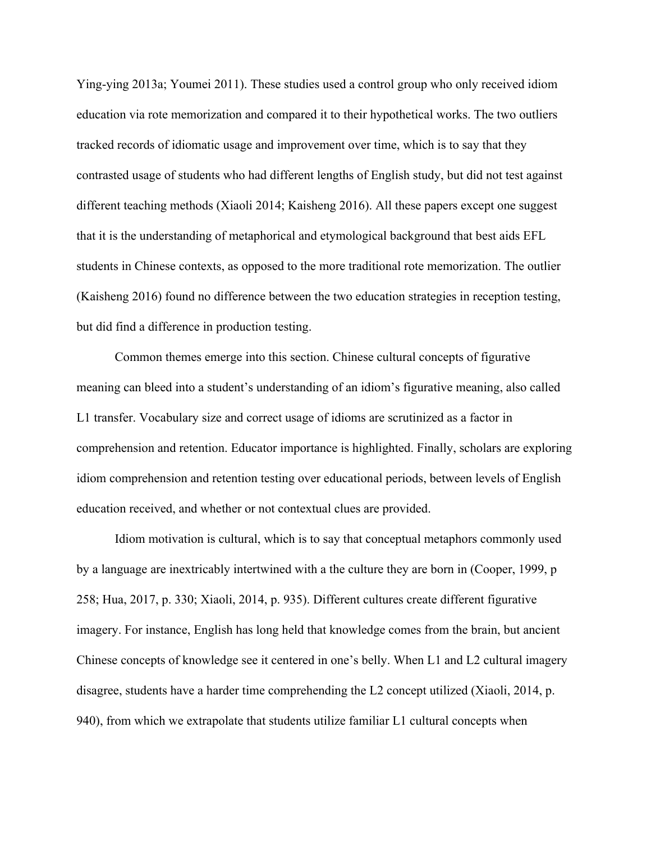Ying-ying 2013a; Youmei 2011). These studies used a control group who only received idiom education via rote memorization and compared it to their hypothetical works. The two outliers tracked records of idiomatic usage and improvement over time, which is to say that they contrasted usage of students who had different lengths of English study, but did not test against different teaching methods (Xiaoli 2014; Kaisheng 2016). All these papers except one suggest that it is the understanding of metaphorical and etymological background that best aids EFL students in Chinese contexts, as opposed to the more traditional rote memorization. The outlier (Kaisheng 2016) found no difference between the two education strategies in reception testing, but did find a difference in production testing.

Common themes emerge into this section. Chinese cultural concepts of figurative meaning can bleed into a student's understanding of an idiom's figurative meaning, also called L1 transfer. Vocabulary size and correct usage of idioms are scrutinized as a factor in comprehension and retention. Educator importance is highlighted. Finally, scholars are exploring idiom comprehension and retention testing over educational periods, between levels of English education received, and whether or not contextual clues are provided.

Idiom motivation is cultural, which is to say that conceptual metaphors commonly used by a language are inextricably intertwined with a the culture they are born in (Cooper, 1999, p 258; Hua, 2017, p. 330; Xiaoli, 2014, p. 935). Different cultures create different figurative imagery. For instance, English has long held that knowledge comes from the brain, but ancient Chinese concepts of knowledge see it centered in one's belly. When L1 and L2 cultural imagery disagree, students have a harder time comprehending the L2 concept utilized (Xiaoli, 2014, p. 940), from which we extrapolate that students utilize familiar L1 cultural concepts when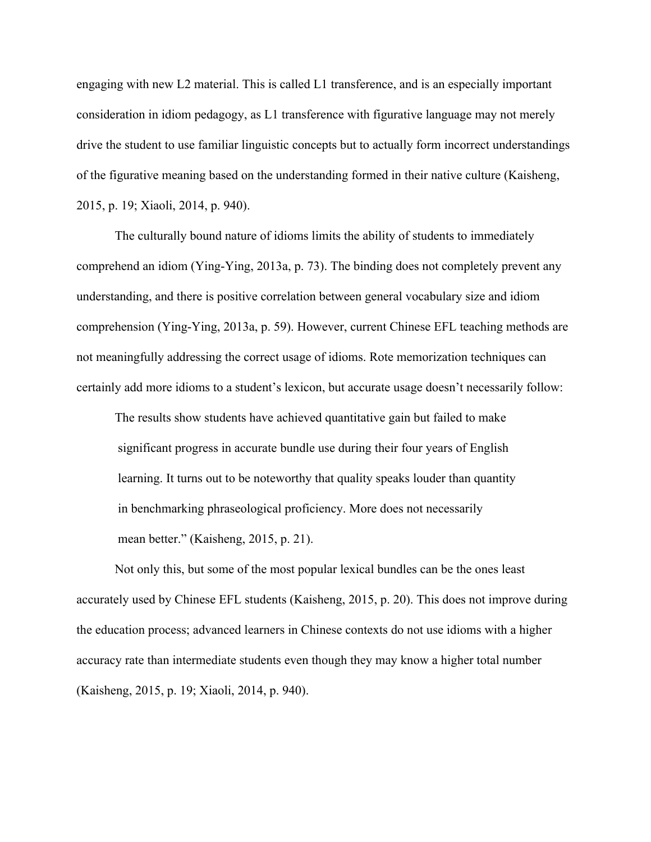engaging with new L2 material. This is called L1 transference, and is an especially important consideration in idiom pedagogy, as L1 transference with figurative language may not merely drive the student to use familiar linguistic concepts but to actually form incorrect understandings of the figurative meaning based on the understanding formed in their native culture (Kaisheng, 2015, p. 19; Xiaoli, 2014, p. 940).

The culturally bound nature of idioms limits the ability of students to immediately comprehend an idiom (Ying-Ying, 2013a, p. 73). The binding does not completely prevent any understanding, and there is positive correlation between general vocabulary size and idiom comprehension (Ying-Ying, 2013a, p. 59). However, current Chinese EFL teaching methods are not meaningfully addressing the correct usage of idioms. Rote memorization techniques can certainly add more idioms to a student's lexicon, but accurate usage doesn't necessarily follow:

The results show students have achieved quantitative gain but failed to make significant progress in accurate bundle use during their four years of English learning. It turns out to be noteworthy that quality speaks louder than quantity in benchmarking phraseological proficiency. More does not necessarily mean better." (Kaisheng, 2015, p. 21).

Not only this, but some of the most popular lexical bundles can be the ones least accurately used by Chinese EFL students (Kaisheng, 2015, p. 20). This does not improve during the education process; advanced learners in Chinese contexts do not use idioms with a higher accuracy rate than intermediate students even though they may know a higher total number (Kaisheng, 2015, p. 19; Xiaoli, 2014, p. 940).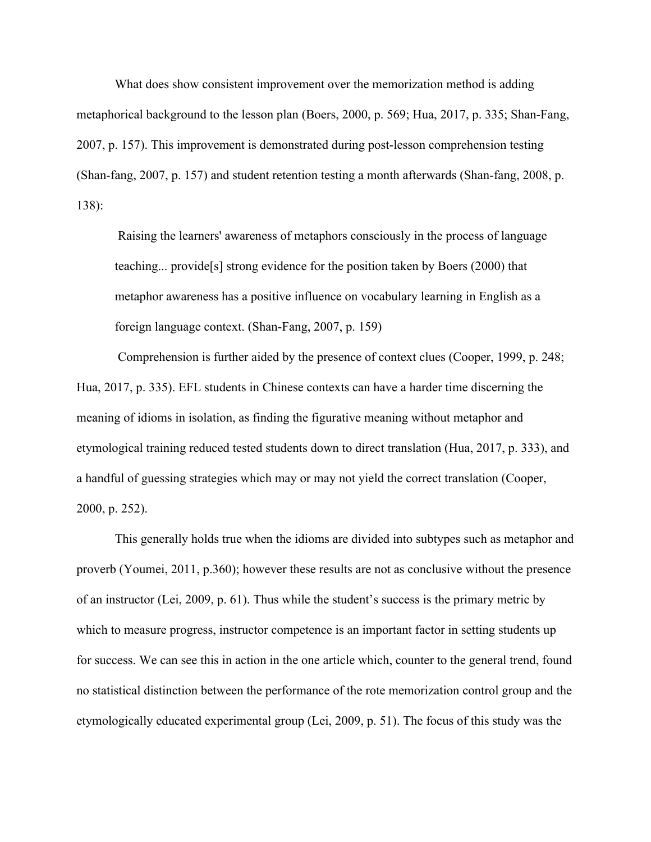What does show consistent improvement over the memorization method is adding metaphorical background to the lesson plan (Boers, 2000, p. 569; Hua, 2017, p. 335; Shan-Fang, 2007, p. 157). This improvement is demonstrated during post-lesson comprehension testing (Shan-fang, 2007, p. 157) and student retention testing a month afterwards (Shan-fang, 2008, p. 138):

 Raising the learners' awareness of metaphors consciously in the process of language teaching... provide[s] strong evidence for the position taken by Boers (2000) that metaphor awareness has a positive influence on vocabulary learning in English as a foreign language context. (Shan-Fang, 2007, p. 159)

 Comprehension is further aided by the presence of context clues (Cooper, 1999, p. 248; Hua, 2017, p. 335). EFL students in Chinese contexts can have a harder time discerning the meaning of idioms in isolation, as finding the figurative meaning without metaphor and etymological training reduced tested students down to direct translation (Hua, 2017, p. 333), and a handful of guessing strategies which may or may not yield the correct translation (Cooper, 2000, p. 252).

This generally holds true when the idioms are divided into subtypes such as metaphor and proverb (Youmei, 2011, p.360); however these results are not as conclusive without the presence of an instructor (Lei, 2009, p. 61). Thus while the student's success is the primary metric by which to measure progress, instructor competence is an important factor in setting students up for success. We can see this in action in the one article which, counter to the general trend, found no statistical distinction between the performance of the rote memorization control group and the etymologically educated experimental group (Lei, 2009, p. 51). The focus of this study was the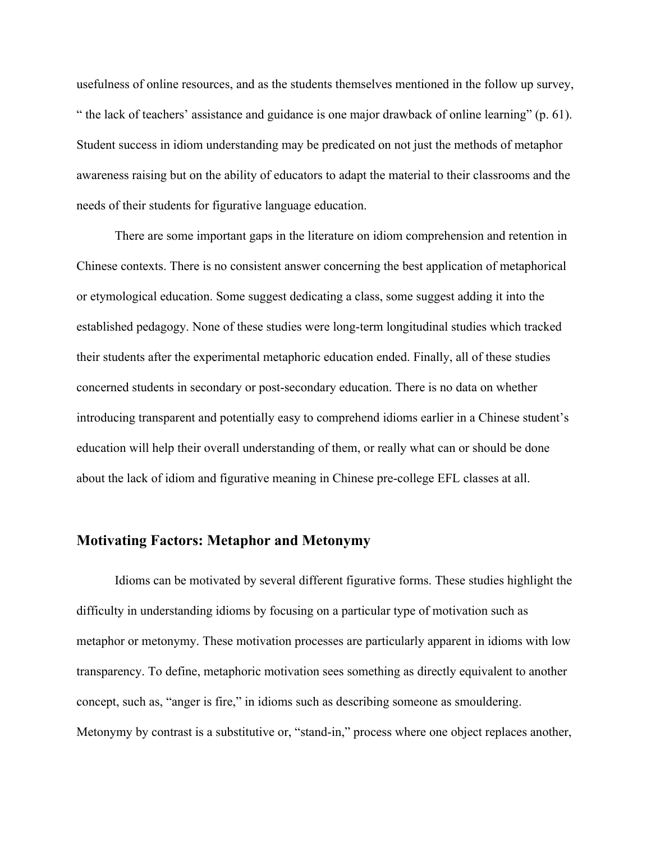usefulness of online resources, and as the students themselves mentioned in the follow up survey, " the lack of teachers' assistance and guidance is one major drawback of online learning" (p. 61). Student success in idiom understanding may be predicated on not just the methods of metaphor awareness raising but on the ability of educators to adapt the material to their classrooms and the needs of their students for figurative language education.

There are some important gaps in the literature on idiom comprehension and retention in Chinese contexts. There is no consistent answer concerning the best application of metaphorical or etymological education. Some suggest dedicating a class, some suggest adding it into the established pedagogy. None of these studies were long-term longitudinal studies which tracked their students after the experimental metaphoric education ended. Finally, all of these studies concerned students in secondary or post-secondary education. There is no data on whether introducing transparent and potentially easy to comprehend idioms earlier in a Chinese student's education will help their overall understanding of them, or really what can or should be done about the lack of idiom and figurative meaning in Chinese pre-college EFL classes at all.

### **Motivating Factors: Metaphor and Metonymy**

Idioms can be motivated by several different figurative forms. These studies highlight the difficulty in understanding idioms by focusing on a particular type of motivation such as metaphor or metonymy. These motivation processes are particularly apparent in idioms with low transparency. To define, metaphoric motivation sees something as directly equivalent to another concept, such as, "anger is fire," in idioms such as describing someone as smouldering. Metonymy by contrast is a substitutive or, "stand-in," process where one object replaces another,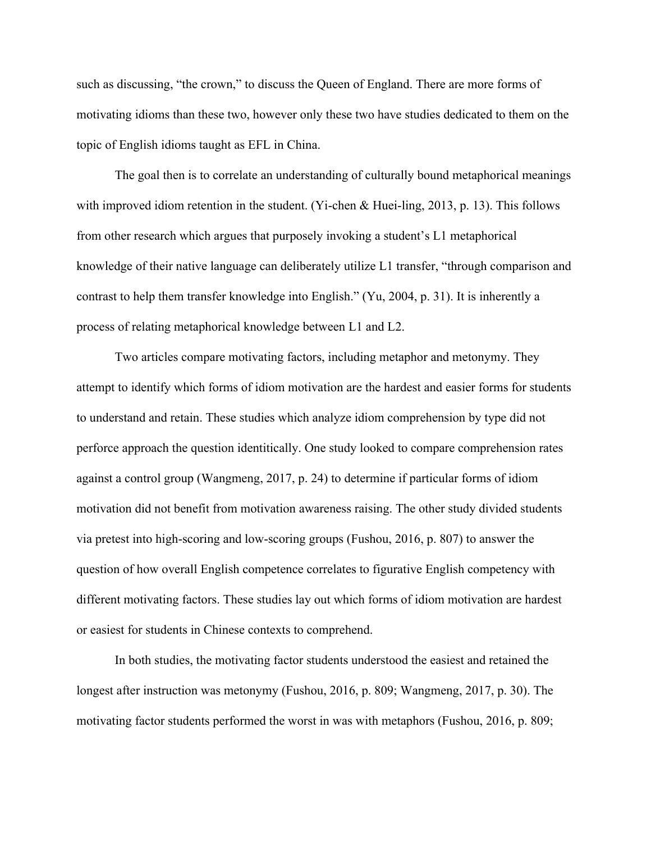such as discussing, "the crown," to discuss the Queen of England. There are more forms of motivating idioms than these two, however only these two have studies dedicated to them on the topic of English idioms taught as EFL in China.

The goal then is to correlate an understanding of culturally bound metaphorical meanings with improved idiom retention in the student. (Yi-chen & Huei-ling, 2013, p. 13). This follows from other research which argues that purposely invoking a student's L1 metaphorical knowledge of their native language can deliberately utilize L1 transfer, "through comparison and contrast to help them transfer knowledge into English." (Yu, 2004, p. 31). It is inherently a process of relating metaphorical knowledge between L1 and L2.

Two articles compare motivating factors, including metaphor and metonymy. They attempt to identify which forms of idiom motivation are the hardest and easier forms for students to understand and retain. These studies which analyze idiom comprehension by type did not perforce approach the question identitically. One study looked to compare comprehension rates against a control group (Wangmeng, 2017, p. 24) to determine if particular forms of idiom motivation did not benefit from motivation awareness raising. The other study divided students via pretest into high-scoring and low-scoring groups (Fushou, 2016, p. 807) to answer the question of how overall English competence correlates to figurative English competency with different motivating factors. These studies lay out which forms of idiom motivation are hardest or easiest for students in Chinese contexts to comprehend.

In both studies, the motivating factor students understood the easiest and retained the longest after instruction was metonymy (Fushou, 2016, p. 809; Wangmeng, 2017, p. 30). The motivating factor students performed the worst in was with metaphors (Fushou, 2016, p. 809;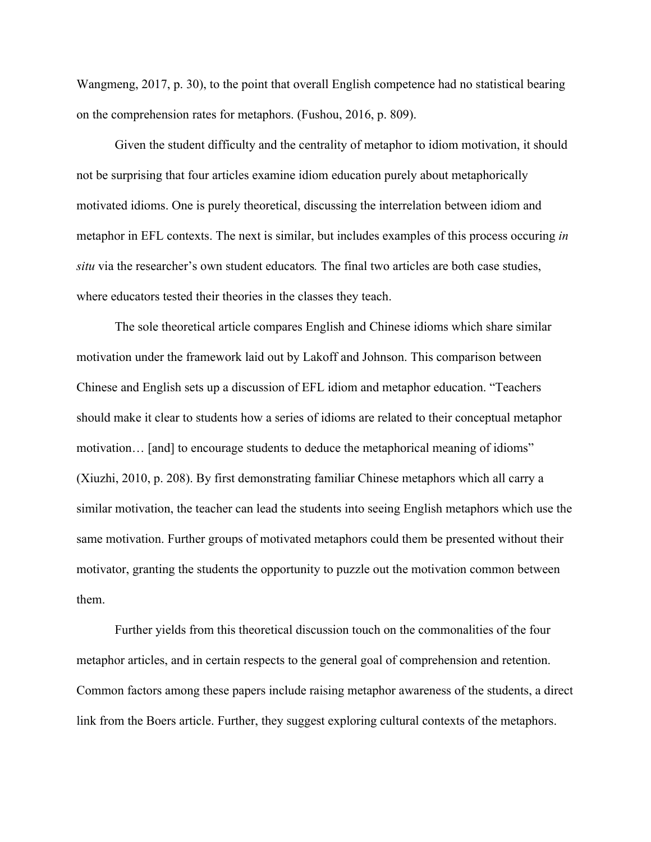Wangmeng, 2017, p. 30), to the point that overall English competence had no statistical bearing on the comprehension rates for metaphors. (Fushou, 2016, p. 809).

Given the student difficulty and the centrality of metaphor to idiom motivation, it should not be surprising that four articles examine idiom education purely about metaphorically motivated idioms. One is purely theoretical, discussing the interrelation between idiom and metaphor in EFL contexts. The next is similar, but includes examples of this process occuring *in situ* via the researcher's own student educators*.* The final two articles are both case studies, where educators tested their theories in the classes they teach.

The sole theoretical article compares English and Chinese idioms which share similar motivation under the framework laid out by Lakoff and Johnson. This comparison between Chinese and English sets up a discussion of EFL idiom and metaphor education. "Teachers should make it clear to students how a series of idioms are related to their conceptual metaphor motivation… [and] to encourage students to deduce the metaphorical meaning of idioms" (Xiuzhi, 2010, p. 208). By first demonstrating familiar Chinese metaphors which all carry a similar motivation, the teacher can lead the students into seeing English metaphors which use the same motivation. Further groups of motivated metaphors could them be presented without their motivator, granting the students the opportunity to puzzle out the motivation common between them.

Further yields from this theoretical discussion touch on the commonalities of the four metaphor articles, and in certain respects to the general goal of comprehension and retention. Common factors among these papers include raising metaphor awareness of the students, a direct link from the Boers article. Further, they suggest exploring cultural contexts of the metaphors.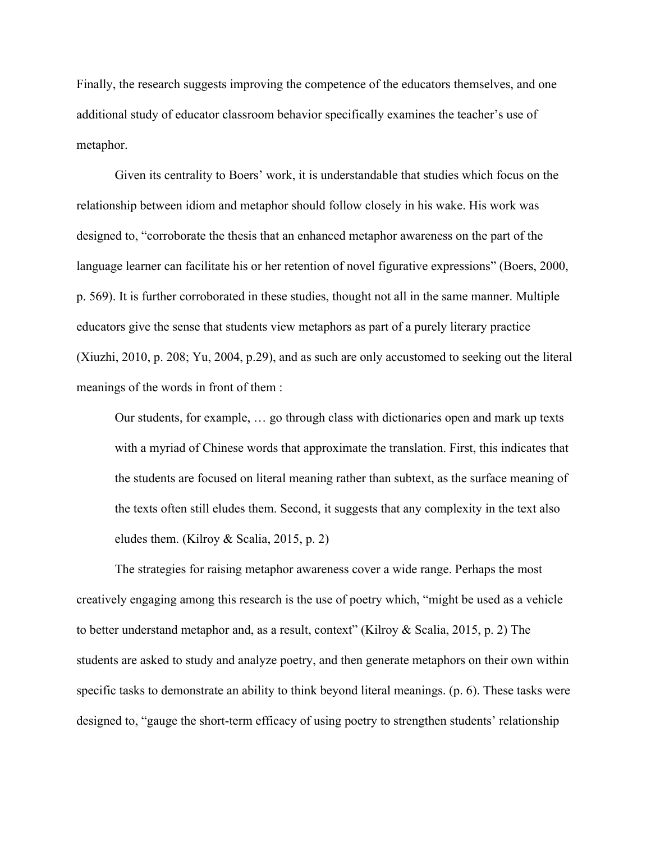Finally, the research suggests improving the competence of the educators themselves, and one additional study of educator classroom behavior specifically examines the teacher's use of metaphor.

Given its centrality to Boers' work, it is understandable that studies which focus on the relationship between idiom and metaphor should follow closely in his wake. His work was designed to, "corroborate the thesis that an enhanced metaphor awareness on the part of the language learner can facilitate his or her retention of novel figurative expressions" (Boers, 2000, p. 569). It is further corroborated in these studies, thought not all in the same manner. Multiple educators give the sense that students view metaphors as part of a purely literary practice (Xiuzhi, 2010, p. 208; Yu, 2004, p.29), and as such are only accustomed to seeking out the literal meanings of the words in front of them :

Our students, for example, … go through class with dictionaries open and mark up texts with a myriad of Chinese words that approximate the translation. First, this indicates that the students are focused on literal meaning rather than subtext, as the surface meaning of the texts often still eludes them. Second, it suggests that any complexity in the text also eludes them. (Kilroy & Scalia, 2015, p. 2)

The strategies for raising metaphor awareness cover a wide range. Perhaps the most creatively engaging among this research is the use of poetry which, "might be used as a vehicle to better understand metaphor and, as a result, context" (Kilroy & Scalia, 2015, p. 2) The students are asked to study and analyze poetry, and then generate metaphors on their own within specific tasks to demonstrate an ability to think beyond literal meanings. (p. 6). These tasks were designed to, "gauge the short-term efficacy of using poetry to strengthen students' relationship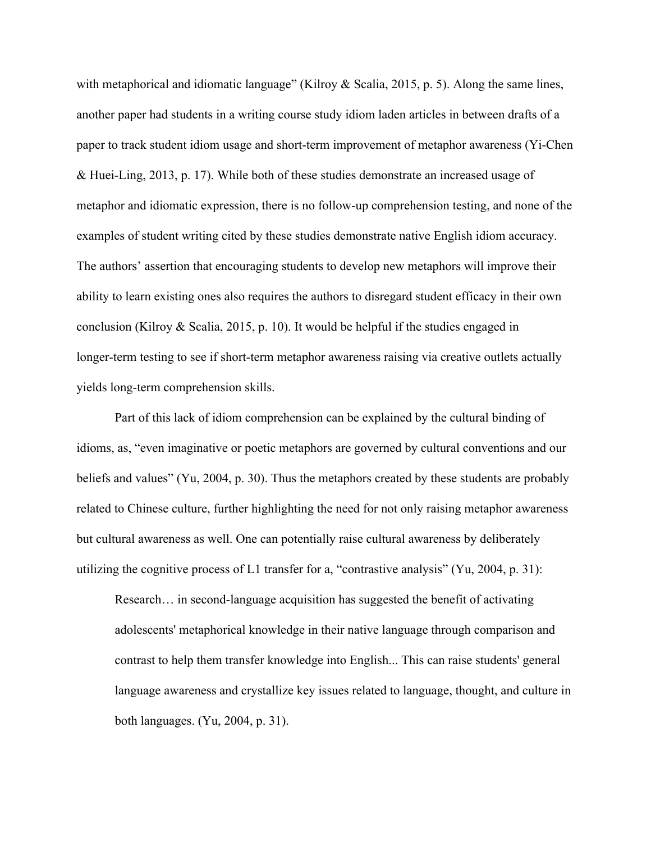with metaphorical and idiomatic language" (Kilroy & Scalia, 2015, p. 5). Along the same lines, another paper had students in a writing course study idiom laden articles in between drafts of a paper to track student idiom usage and short-term improvement of metaphor awareness (Yi-Chen & Huei-Ling, 2013, p. 17). While both of these studies demonstrate an increased usage of metaphor and idiomatic expression, there is no follow-up comprehension testing, and none of the examples of student writing cited by these studies demonstrate native English idiom accuracy. The authors' assertion that encouraging students to develop new metaphors will improve their ability to learn existing ones also requires the authors to disregard student efficacy in their own conclusion (Kilroy & Scalia, 2015, p. 10). It would be helpful if the studies engaged in longer-term testing to see if short-term metaphor awareness raising via creative outlets actually yields long-term comprehension skills.

Part of this lack of idiom comprehension can be explained by the cultural binding of idioms, as, "even imaginative or poetic metaphors are governed by cultural conventions and our beliefs and values" (Yu, 2004, p. 30). Thus the metaphors created by these students are probably related to Chinese culture, further highlighting the need for not only raising metaphor awareness but cultural awareness as well. One can potentially raise cultural awareness by deliberately utilizing the cognitive process of L1 transfer for a, "contrastive analysis" (Yu, 2004, p. 31):

Research… in second-language acquisition has suggested the benefit of activating adolescents' metaphorical knowledge in their native language through comparison and contrast to help them transfer knowledge into English... This can raise students' general language awareness and crystallize key issues related to language, thought, and culture in both languages. (Yu, 2004, p. 31).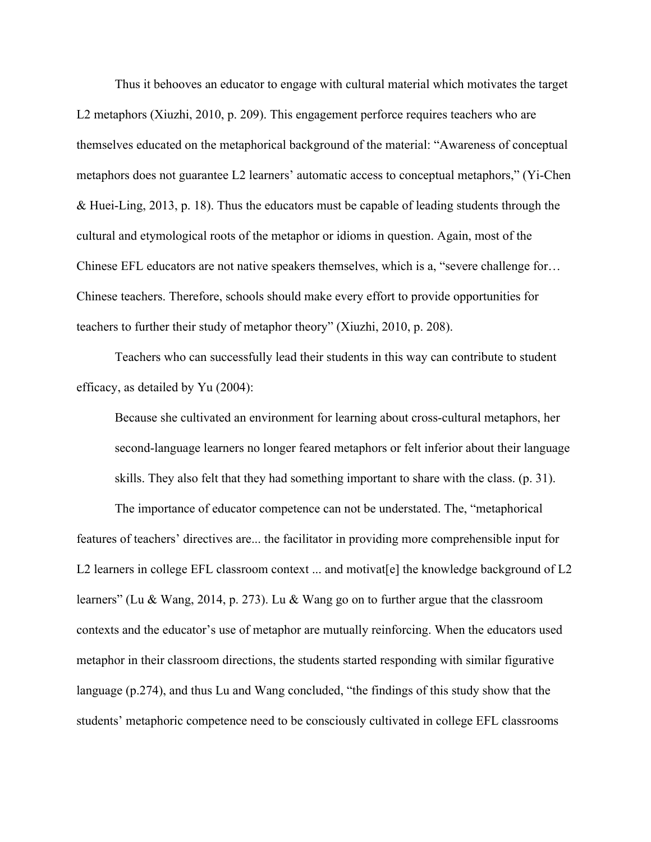Thus it behooves an educator to engage with cultural material which motivates the target L2 metaphors (Xiuzhi, 2010, p. 209). This engagement perforce requires teachers who are themselves educated on the metaphorical background of the material: "Awareness of conceptual metaphors does not guarantee L2 learners' automatic access to conceptual metaphors," (Yi-Chen & Huei-Ling, 2013, p. 18). Thus the educators must be capable of leading students through the cultural and etymological roots of the metaphor or idioms in question. Again, most of the Chinese EFL educators are not native speakers themselves, which is a, "severe challenge for… Chinese teachers. Therefore, schools should make every effort to provide opportunities for teachers to further their study of metaphor theory" (Xiuzhi, 2010, p. 208).

Teachers who can successfully lead their students in this way can contribute to student efficacy, as detailed by Yu (2004):

Because she cultivated an environment for learning about cross-cultural metaphors, her second-language learners no longer feared metaphors or felt inferior about their language skills. They also felt that they had something important to share with the class. (p. 31).

The importance of educator competence can not be understated. The, "metaphorical features of teachers' directives are... the facilitator in providing more comprehensible input for L2 learners in college EFL classroom context ... and motivatel the knowledge background of L2 learners" (Lu & Wang, 2014, p. 273). Lu & Wang go on to further argue that the classroom contexts and the educator's use of metaphor are mutually reinforcing. When the educators used metaphor in their classroom directions, the students started responding with similar figurative language (p.274), and thus Lu and Wang concluded, "the findings of this study show that the students' metaphoric competence need to be consciously cultivated in college EFL classrooms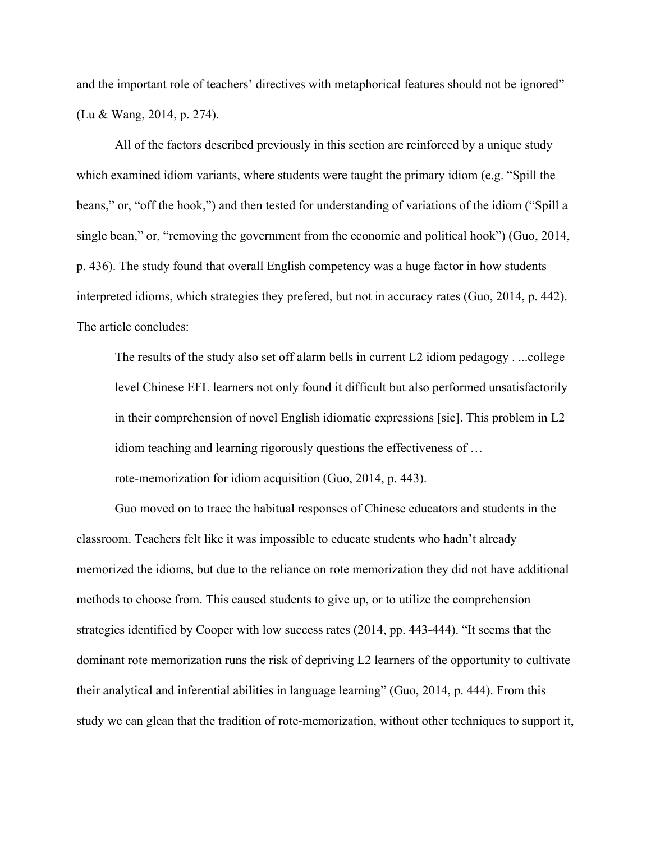and the important role of teachers' directives with metaphorical features should not be ignored" (Lu & Wang, 2014, p. 274).

All of the factors described previously in this section are reinforced by a unique study which examined idiom variants, where students were taught the primary idiom (e.g. "Spill the beans," or, "off the hook,") and then tested for understanding of variations of the idiom ("Spill a single bean," or, "removing the government from the economic and political hook") (Guo, 2014, p. 436). The study found that overall English competency was a huge factor in how students interpreted idioms, which strategies they prefered, but not in accuracy rates (Guo, 2014, p. 442). The article concludes:

The results of the study also set off alarm bells in current L2 idiom pedagogy . ...college level Chinese EFL learners not only found it difficult but also performed unsatisfactorily in their comprehension of novel English idiomatic expressions [sic]. This problem in L2 idiom teaching and learning rigorously questions the effectiveness of … rote-memorization for idiom acquisition (Guo, 2014, p. 443).

Guo moved on to trace the habitual responses of Chinese educators and students in the classroom. Teachers felt like it was impossible to educate students who hadn't already memorized the idioms, but due to the reliance on rote memorization they did not have additional methods to choose from. This caused students to give up, or to utilize the comprehension strategies identified by Cooper with low success rates (2014, pp. 443-444). "It seems that the dominant rote memorization runs the risk of depriving L2 learners of the opportunity to cultivate their analytical and inferential abilities in language learning" (Guo, 2014, p. 444). From this study we can glean that the tradition of rote-memorization, without other techniques to support it,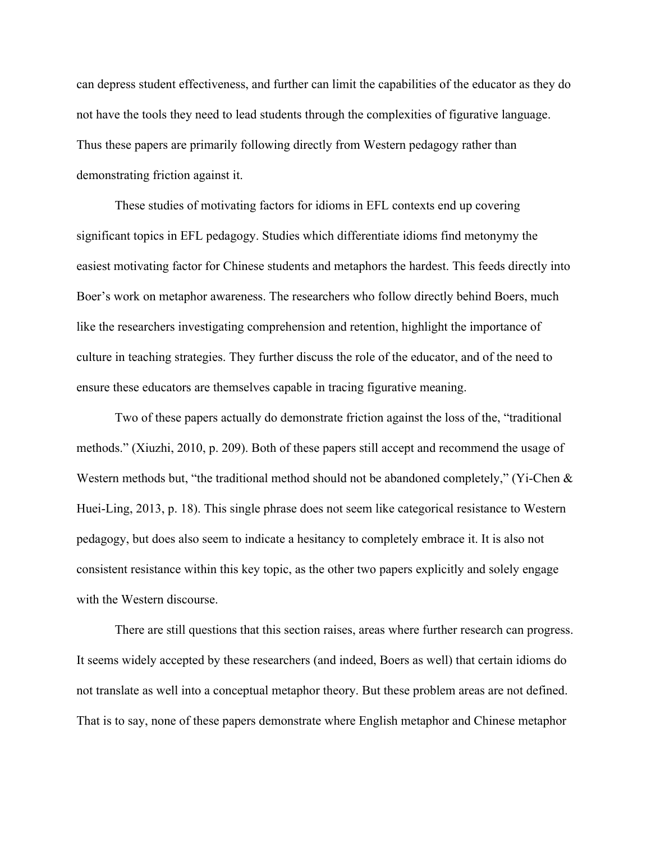can depress student effectiveness, and further can limit the capabilities of the educator as they do not have the tools they need to lead students through the complexities of figurative language. Thus these papers are primarily following directly from Western pedagogy rather than demonstrating friction against it.

These studies of motivating factors for idioms in EFL contexts end up covering significant topics in EFL pedagogy. Studies which differentiate idioms find metonymy the easiest motivating factor for Chinese students and metaphors the hardest. This feeds directly into Boer's work on metaphor awareness. The researchers who follow directly behind Boers, much like the researchers investigating comprehension and retention, highlight the importance of culture in teaching strategies. They further discuss the role of the educator, and of the need to ensure these educators are themselves capable in tracing figurative meaning.

Two of these papers actually do demonstrate friction against the loss of the, "traditional methods." (Xiuzhi, 2010, p. 209). Both of these papers still accept and recommend the usage of Western methods but, "the traditional method should not be abandoned completely," (Yi-Chen & Huei-Ling, 2013, p. 18). This single phrase does not seem like categorical resistance to Western pedagogy, but does also seem to indicate a hesitancy to completely embrace it. It is also not consistent resistance within this key topic, as the other two papers explicitly and solely engage with the Western discourse.

There are still questions that this section raises, areas where further research can progress. It seems widely accepted by these researchers (and indeed, Boers as well) that certain idioms do not translate as well into a conceptual metaphor theory. But these problem areas are not defined. That is to say, none of these papers demonstrate where English metaphor and Chinese metaphor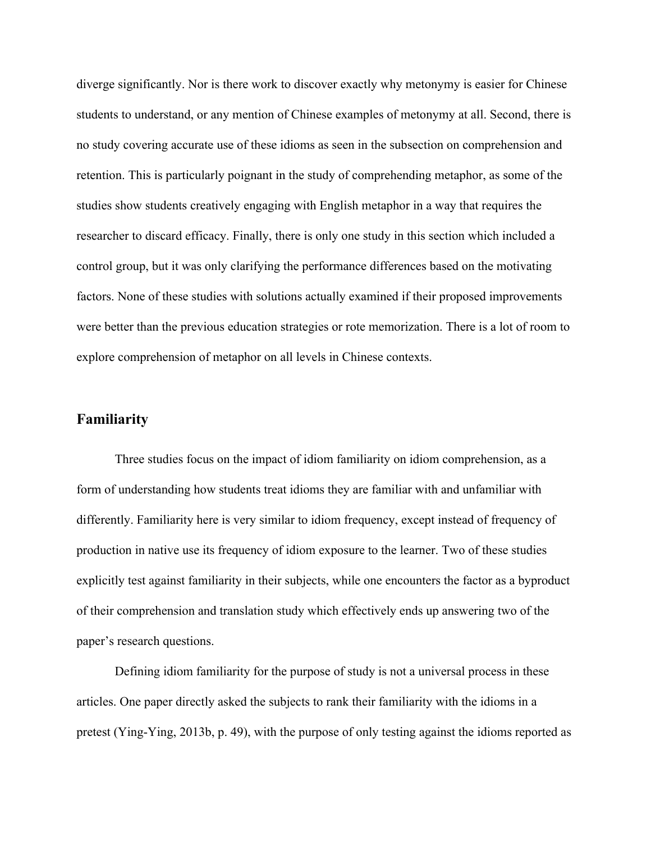diverge significantly. Nor is there work to discover exactly why metonymy is easier for Chinese students to understand, or any mention of Chinese examples of metonymy at all. Second, there is no study covering accurate use of these idioms as seen in the subsection on comprehension and retention. This is particularly poignant in the study of comprehending metaphor, as some of the studies show students creatively engaging with English metaphor in a way that requires the researcher to discard efficacy. Finally, there is only one study in this section which included a control group, but it was only clarifying the performance differences based on the motivating factors. None of these studies with solutions actually examined if their proposed improvements were better than the previous education strategies or rote memorization. There is a lot of room to explore comprehension of metaphor on all levels in Chinese contexts.

#### **Familiarity**

Three studies focus on the impact of idiom familiarity on idiom comprehension, as a form of understanding how students treat idioms they are familiar with and unfamiliar with differently. Familiarity here is very similar to idiom frequency, except instead of frequency of production in native use its frequency of idiom exposure to the learner. Two of these studies explicitly test against familiarity in their subjects, while one encounters the factor as a byproduct of their comprehension and translation study which effectively ends up answering two of the paper's research questions.

Defining idiom familiarity for the purpose of study is not a universal process in these articles. One paper directly asked the subjects to rank their familiarity with the idioms in a pretest (Ying-Ying, 2013b, p. 49), with the purpose of only testing against the idioms reported as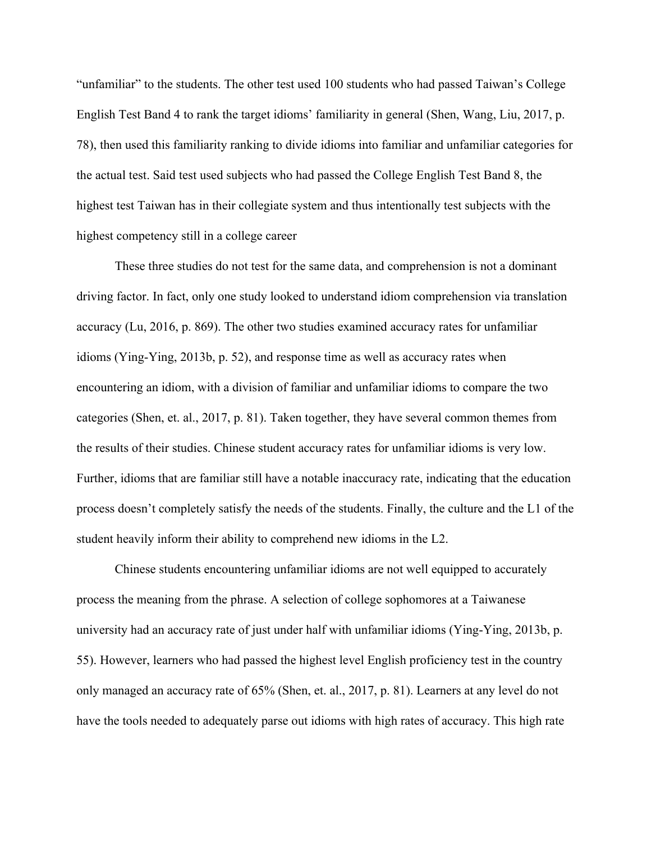"unfamiliar" to the students. The other test used 100 students who had passed Taiwan's College English Test Band 4 to rank the target idioms' familiarity in general (Shen, Wang, Liu, 2017, p. 78), then used this familiarity ranking to divide idioms into familiar and unfamiliar categories for the actual test. Said test used subjects who had passed the College English Test Band 8, the highest test Taiwan has in their collegiate system and thus intentionally test subjects with the highest competency still in a college career

These three studies do not test for the same data, and comprehension is not a dominant driving factor. In fact, only one study looked to understand idiom comprehension via translation accuracy (Lu, 2016, p. 869). The other two studies examined accuracy rates for unfamiliar idioms (Ying-Ying, 2013b, p. 52), and response time as well as accuracy rates when encountering an idiom, with a division of familiar and unfamiliar idioms to compare the two categories (Shen, et. al., 2017, p. 81). Taken together, they have several common themes from the results of their studies. Chinese student accuracy rates for unfamiliar idioms is very low. Further, idioms that are familiar still have a notable inaccuracy rate, indicating that the education process doesn't completely satisfy the needs of the students. Finally, the culture and the L1 of the student heavily inform their ability to comprehend new idioms in the L2.

Chinese students encountering unfamiliar idioms are not well equipped to accurately process the meaning from the phrase. A selection of college sophomores at a Taiwanese university had an accuracy rate of just under half with unfamiliar idioms (Ying-Ying, 2013b, p. 55). However, learners who had passed the highest level English proficiency test in the country only managed an accuracy rate of 65% (Shen, et. al., 2017, p. 81). Learners at any level do not have the tools needed to adequately parse out idioms with high rates of accuracy. This high rate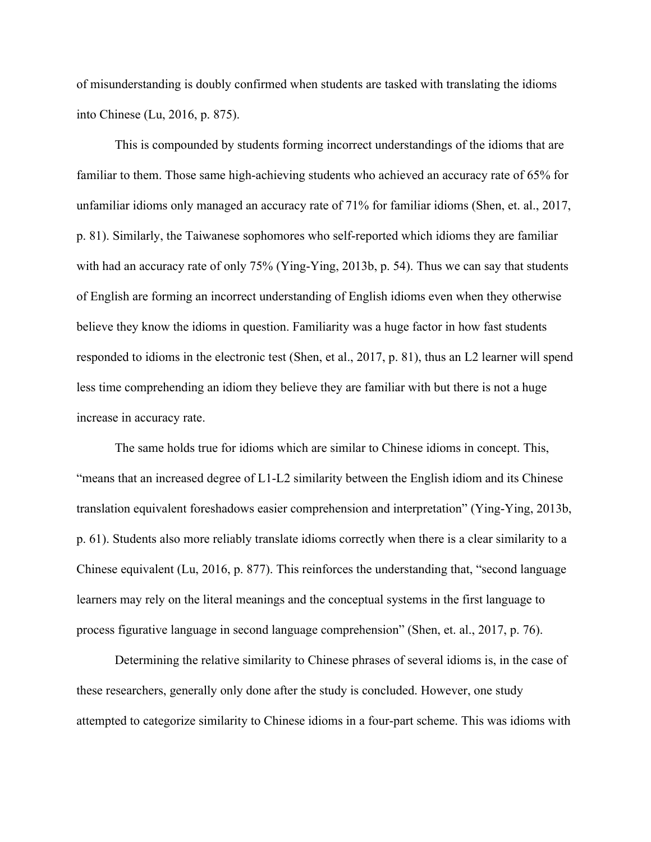of misunderstanding is doubly confirmed when students are tasked with translating the idioms into Chinese (Lu, 2016, p. 875).

This is compounded by students forming incorrect understandings of the idioms that are familiar to them. Those same high-achieving students who achieved an accuracy rate of 65% for unfamiliar idioms only managed an accuracy rate of 71% for familiar idioms (Shen, et. al., 2017, p. 81). Similarly, the Taiwanese sophomores who self-reported which idioms they are familiar with had an accuracy rate of only 75% (Ying-Ying, 2013b, p. 54). Thus we can say that students of English are forming an incorrect understanding of English idioms even when they otherwise believe they know the idioms in question. Familiarity was a huge factor in how fast students responded to idioms in the electronic test (Shen, et al., 2017, p. 81), thus an L2 learner will spend less time comprehending an idiom they believe they are familiar with but there is not a huge increase in accuracy rate.

The same holds true for idioms which are similar to Chinese idioms in concept. This, "means that an increased degree of L1-L2 similarity between the English idiom and its Chinese translation equivalent foreshadows easier comprehension and interpretation" (Ying-Ying, 2013b, p. 61). Students also more reliably translate idioms correctly when there is a clear similarity to a Chinese equivalent (Lu, 2016, p. 877). This reinforces the understanding that, "second language learners may rely on the literal meanings and the conceptual systems in the first language to process figurative language in second language comprehension" (Shen, et. al., 2017, p. 76).

Determining the relative similarity to Chinese phrases of several idioms is, in the case of these researchers, generally only done after the study is concluded. However, one study attempted to categorize similarity to Chinese idioms in a four-part scheme. This was idioms with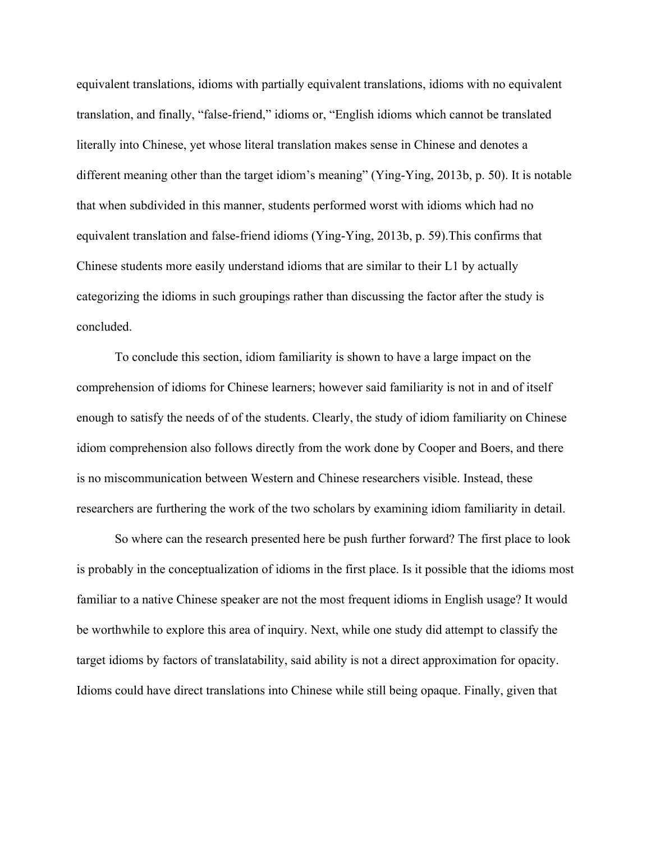equivalent translations, idioms with partially equivalent translations, idioms with no equivalent translation, and finally, "false-friend," idioms or, "English idioms which cannot be translated literally into Chinese, yet whose literal translation makes sense in Chinese and denotes a different meaning other than the target idiom's meaning" (Ying-Ying, 2013b, p. 50). It is notable that when subdivided in this manner, students performed worst with idioms which had no equivalent translation and false-friend idioms (Ying-Ying, 2013b, p. 59).This confirms that Chinese students more easily understand idioms that are similar to their L1 by actually categorizing the idioms in such groupings rather than discussing the factor after the study is concluded.

To conclude this section, idiom familiarity is shown to have a large impact on the comprehension of idioms for Chinese learners; however said familiarity is not in and of itself enough to satisfy the needs of of the students. Clearly, the study of idiom familiarity on Chinese idiom comprehension also follows directly from the work done by Cooper and Boers, and there is no miscommunication between Western and Chinese researchers visible. Instead, these researchers are furthering the work of the two scholars by examining idiom familiarity in detail.

So where can the research presented here be push further forward? The first place to look is probably in the conceptualization of idioms in the first place. Is it possible that the idioms most familiar to a native Chinese speaker are not the most frequent idioms in English usage? It would be worthwhile to explore this area of inquiry. Next, while one study did attempt to classify the target idioms by factors of translatability, said ability is not a direct approximation for opacity. Idioms could have direct translations into Chinese while still being opaque. Finally, given that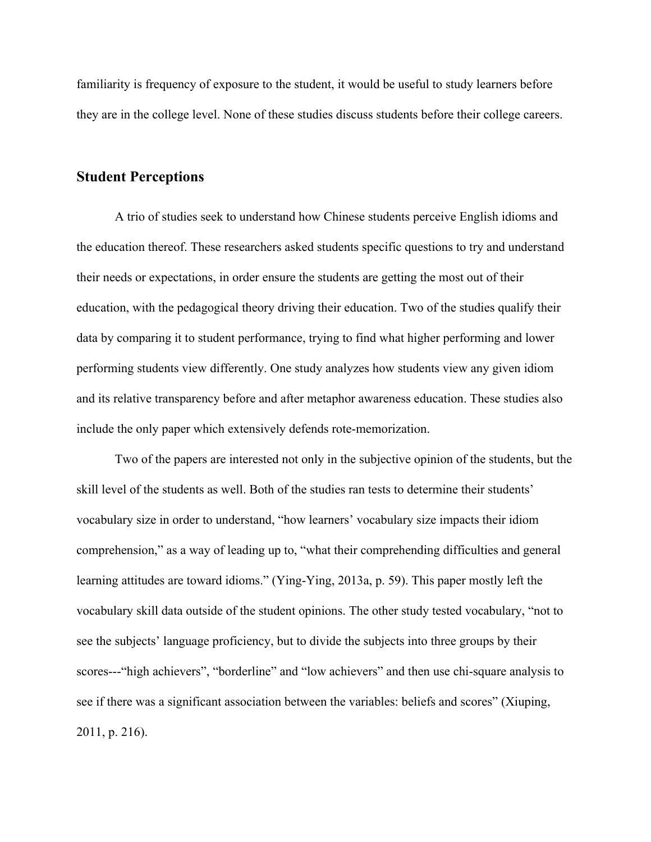familiarity is frequency of exposure to the student, it would be useful to study learners before they are in the college level. None of these studies discuss students before their college careers.

### **Student Perceptions**

A trio of studies seek to understand how Chinese students perceive English idioms and the education thereof. These researchers asked students specific questions to try and understand their needs or expectations, in order ensure the students are getting the most out of their education, with the pedagogical theory driving their education. Two of the studies qualify their data by comparing it to student performance, trying to find what higher performing and lower performing students view differently. One study analyzes how students view any given idiom and its relative transparency before and after metaphor awareness education. These studies also include the only paper which extensively defends rote-memorization.

Two of the papers are interested not only in the subjective opinion of the students, but the skill level of the students as well. Both of the studies ran tests to determine their students' vocabulary size in order to understand, "how learners' vocabulary size impacts their idiom comprehension," as a way of leading up to, "what their comprehending difficulties and general learning attitudes are toward idioms." (Ying-Ying, 2013a, p. 59). This paper mostly left the vocabulary skill data outside of the student opinions. The other study tested vocabulary, "not to see the subjects' language proficiency, but to divide the subjects into three groups by their scores---"high achievers", "borderline" and "low achievers" and then use chi-square analysis to see if there was a significant association between the variables: beliefs and scores" (Xiuping, 2011, p. 216).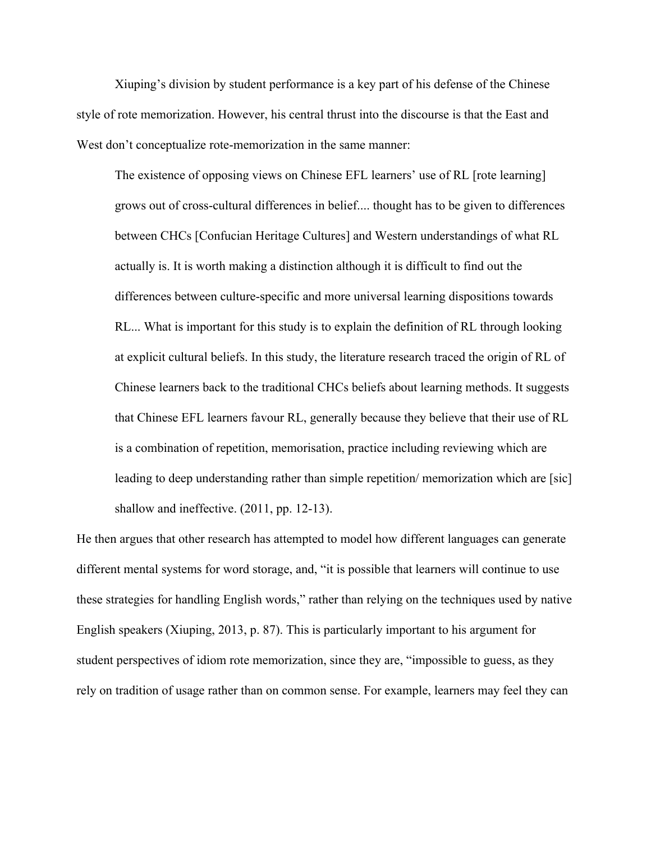Xiuping's division by student performance is a key part of his defense of the Chinese style of rote memorization. However, his central thrust into the discourse is that the East and West don't conceptualize rote-memorization in the same manner:

The existence of opposing views on Chinese EFL learners' use of RL [rote learning] grows out of cross-cultural differences in belief.... thought has to be given to differences between CHCs [Confucian Heritage Cultures] and Western understandings of what RL actually is. It is worth making a distinction although it is difficult to find out the differences between culture-specific and more universal learning dispositions towards RL... What is important for this study is to explain the definition of RL through looking at explicit cultural beliefs. In this study, the literature research traced the origin of RL of Chinese learners back to the traditional CHCs beliefs about learning methods. It suggests that Chinese EFL learners favour RL, generally because they believe that their use of RL is a combination of repetition, memorisation, practice including reviewing which are leading to deep understanding rather than simple repetition/ memorization which are [sic] shallow and ineffective. (2011, pp. 12-13).

He then argues that other research has attempted to model how different languages can generate different mental systems for word storage, and, "it is possible that learners will continue to use these strategies for handling English words," rather than relying on the techniques used by native English speakers (Xiuping, 2013, p. 87). This is particularly important to his argument for student perspectives of idiom rote memorization, since they are, "impossible to guess, as they rely on tradition of usage rather than on common sense. For example, learners may feel they can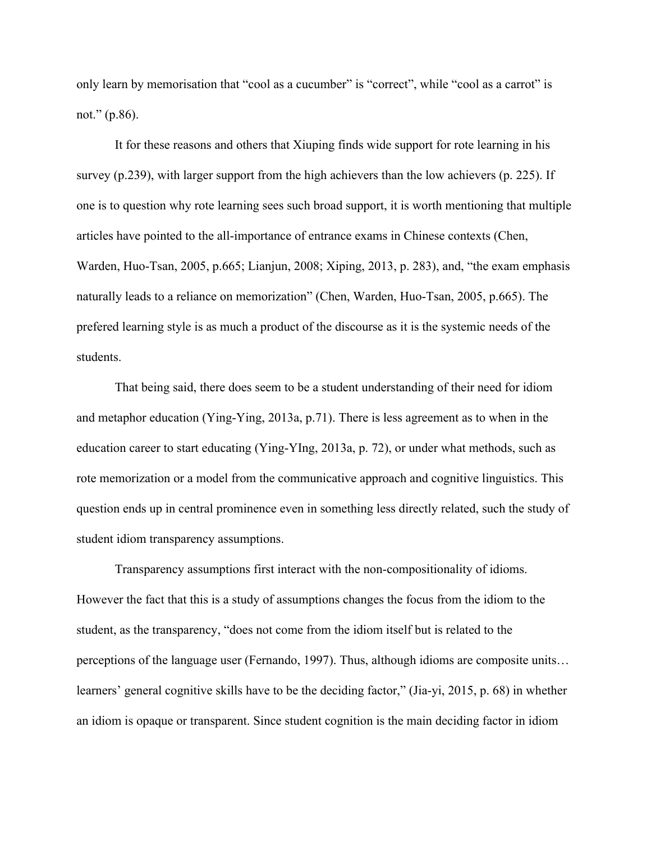only learn by memorisation that "cool as a cucumber" is "correct", while "cool as a carrot" is not." (p.86).

It for these reasons and others that Xiuping finds wide support for rote learning in his survey (p.239), with larger support from the high achievers than the low achievers (p. 225). If one is to question why rote learning sees such broad support, it is worth mentioning that multiple articles have pointed to the all-importance of entrance exams in Chinese contexts (Chen, Warden, Huo-Tsan, 2005, p.665; Lianjun, 2008; Xiping, 2013, p. 283), and, "the exam emphasis naturally leads to a reliance on memorization" (Chen, Warden, Huo-Tsan, 2005, p.665). The prefered learning style is as much a product of the discourse as it is the systemic needs of the students.

That being said, there does seem to be a student understanding of their need for idiom and metaphor education (Ying-Ying, 2013a, p.71). There is less agreement as to when in the education career to start educating (Ying-YIng, 2013a, p. 72), or under what methods, such as rote memorization or a model from the communicative approach and cognitive linguistics. This question ends up in central prominence even in something less directly related, such the study of student idiom transparency assumptions.

Transparency assumptions first interact with the non-compositionality of idioms. However the fact that this is a study of assumptions changes the focus from the idiom to the student, as the transparency, "does not come from the idiom itself but is related to the perceptions of the language user (Fernando, 1997). Thus, although idioms are composite units… learners' general cognitive skills have to be the deciding factor," (Jia-yi, 2015, p. 68) in whether an idiom is opaque or transparent. Since student cognition is the main deciding factor in idiom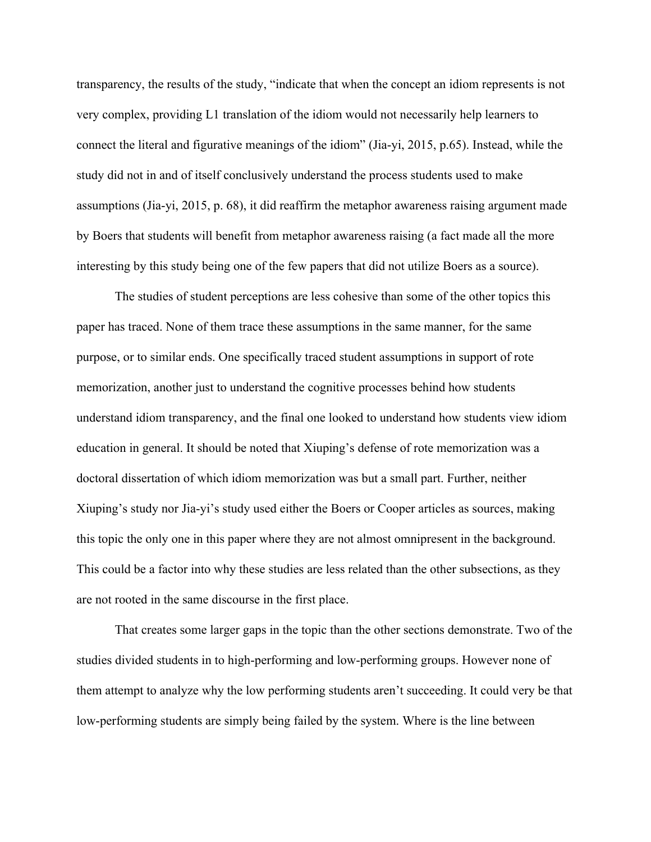transparency, the results of the study, "indicate that when the concept an idiom represents is not very complex, providing L1 translation of the idiom would not necessarily help learners to connect the literal and figurative meanings of the idiom" (Jia-yi, 2015, p.65). Instead, while the study did not in and of itself conclusively understand the process students used to make assumptions (Jia-yi, 2015, p. 68), it did reaffirm the metaphor awareness raising argument made by Boers that students will benefit from metaphor awareness raising (a fact made all the more interesting by this study being one of the few papers that did not utilize Boers as a source).

The studies of student perceptions are less cohesive than some of the other topics this paper has traced. None of them trace these assumptions in the same manner, for the same purpose, or to similar ends. One specifically traced student assumptions in support of rote memorization, another just to understand the cognitive processes behind how students understand idiom transparency, and the final one looked to understand how students view idiom education in general. It should be noted that Xiuping's defense of rote memorization was a doctoral dissertation of which idiom memorization was but a small part. Further, neither Xiuping's study nor Jia-yi's study used either the Boers or Cooper articles as sources, making this topic the only one in this paper where they are not almost omnipresent in the background. This could be a factor into why these studies are less related than the other subsections, as they are not rooted in the same discourse in the first place.

That creates some larger gaps in the topic than the other sections demonstrate. Two of the studies divided students in to high-performing and low-performing groups. However none of them attempt to analyze why the low performing students aren't succeeding. It could very be that low-performing students are simply being failed by the system. Where is the line between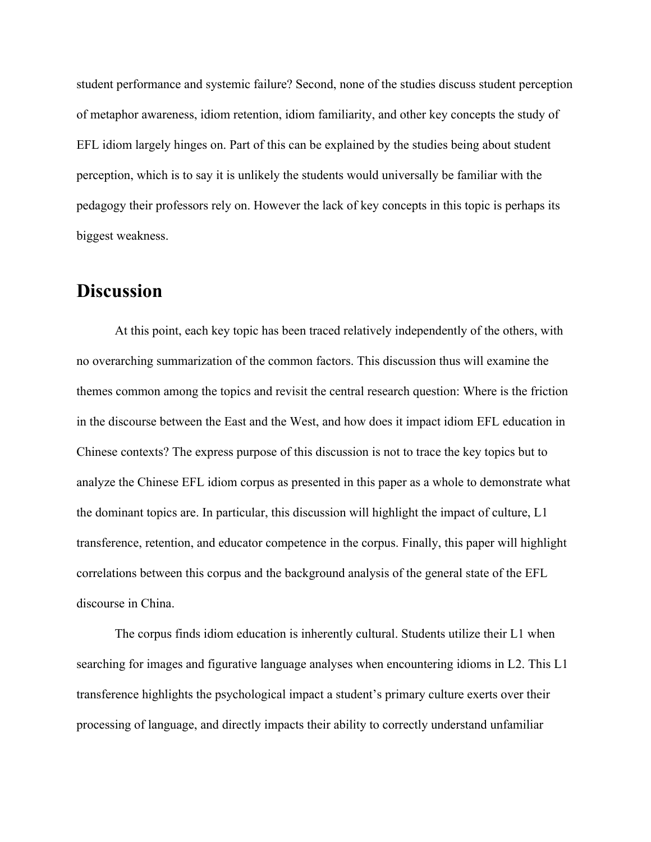student performance and systemic failure? Second, none of the studies discuss student perception of metaphor awareness, idiom retention, idiom familiarity, and other key concepts the study of EFL idiom largely hinges on. Part of this can be explained by the studies being about student perception, which is to say it is unlikely the students would universally be familiar with the pedagogy their professors rely on. However the lack of key concepts in this topic is perhaps its biggest weakness.

## **Discussion**

At this point, each key topic has been traced relatively independently of the others, with no overarching summarization of the common factors. This discussion thus will examine the themes common among the topics and revisit the central research question: Where is the friction in the discourse between the East and the West, and how does it impact idiom EFL education in Chinese contexts? The express purpose of this discussion is not to trace the key topics but to analyze the Chinese EFL idiom corpus as presented in this paper as a whole to demonstrate what the dominant topics are. In particular, this discussion will highlight the impact of culture, L1 transference, retention, and educator competence in the corpus. Finally, this paper will highlight correlations between this corpus and the background analysis of the general state of the EFL discourse in China.

The corpus finds idiom education is inherently cultural. Students utilize their L1 when searching for images and figurative language analyses when encountering idioms in L2. This L1 transference highlights the psychological impact a student's primary culture exerts over their processing of language, and directly impacts their ability to correctly understand unfamiliar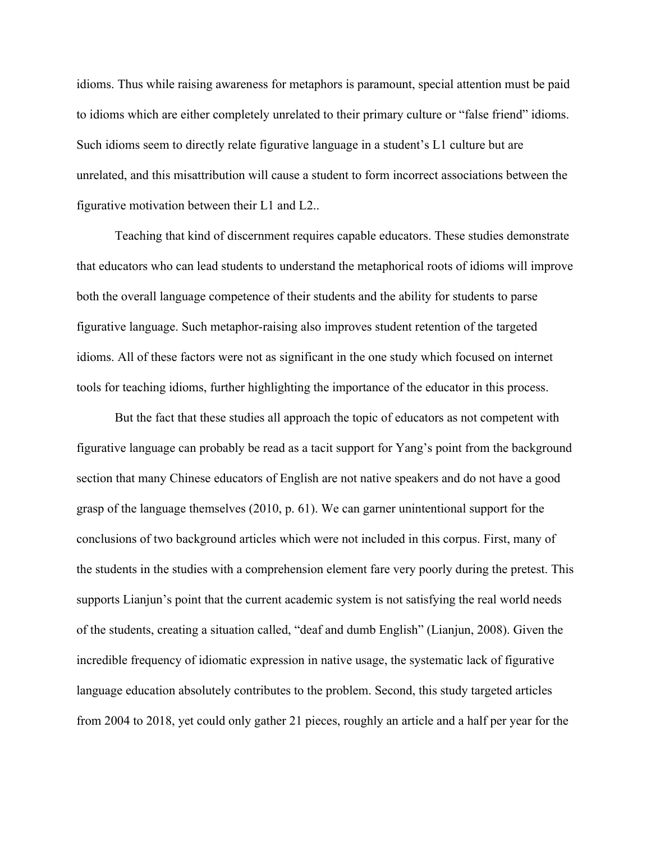idioms. Thus while raising awareness for metaphors is paramount, special attention must be paid to idioms which are either completely unrelated to their primary culture or "false friend" idioms. Such idioms seem to directly relate figurative language in a student's L1 culture but are unrelated, and this misattribution will cause a student to form incorrect associations between the figurative motivation between their L1 and L2..

Teaching that kind of discernment requires capable educators. These studies demonstrate that educators who can lead students to understand the metaphorical roots of idioms will improve both the overall language competence of their students and the ability for students to parse figurative language. Such metaphor-raising also improves student retention of the targeted idioms. All of these factors were not as significant in the one study which focused on internet tools for teaching idioms, further highlighting the importance of the educator in this process.

But the fact that these studies all approach the topic of educators as not competent with figurative language can probably be read as a tacit support for Yang's point from the background section that many Chinese educators of English are not native speakers and do not have a good grasp of the language themselves (2010, p. 61). We can garner unintentional support for the conclusions of two background articles which were not included in this corpus. First, many of the students in the studies with a comprehension element fare very poorly during the pretest. This supports Lianjun's point that the current academic system is not satisfying the real world needs of the students, creating a situation called, "deaf and dumb English" (Lianjun, 2008). Given the incredible frequency of idiomatic expression in native usage, the systematic lack of figurative language education absolutely contributes to the problem. Second, this study targeted articles from 2004 to 2018, yet could only gather 21 pieces, roughly an article and a half per year for the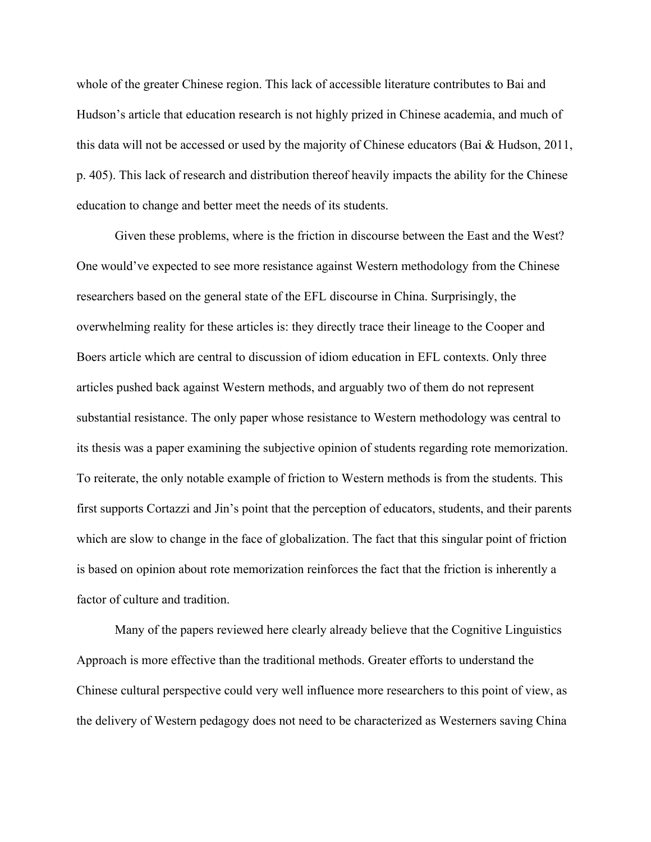whole of the greater Chinese region. This lack of accessible literature contributes to Bai and Hudson's article that education research is not highly prized in Chinese academia, and much of this data will not be accessed or used by the majority of Chinese educators (Bai & Hudson, 2011, p. 405). This lack of research and distribution thereof heavily impacts the ability for the Chinese education to change and better meet the needs of its students.

Given these problems, where is the friction in discourse between the East and the West? One would've expected to see more resistance against Western methodology from the Chinese researchers based on the general state of the EFL discourse in China. Surprisingly, the overwhelming reality for these articles is: they directly trace their lineage to the Cooper and Boers article which are central to discussion of idiom education in EFL contexts. Only three articles pushed back against Western methods, and arguably two of them do not represent substantial resistance. The only paper whose resistance to Western methodology was central to its thesis was a paper examining the subjective opinion of students regarding rote memorization. To reiterate, the only notable example of friction to Western methods is from the students. This first supports Cortazzi and Jin's point that the perception of educators, students, and their parents which are slow to change in the face of globalization. The fact that this singular point of friction is based on opinion about rote memorization reinforces the fact that the friction is inherently a factor of culture and tradition.

Many of the papers reviewed here clearly already believe that the Cognitive Linguistics Approach is more effective than the traditional methods. Greater efforts to understand the Chinese cultural perspective could very well influence more researchers to this point of view, as the delivery of Western pedagogy does not need to be characterized as Westerners saving China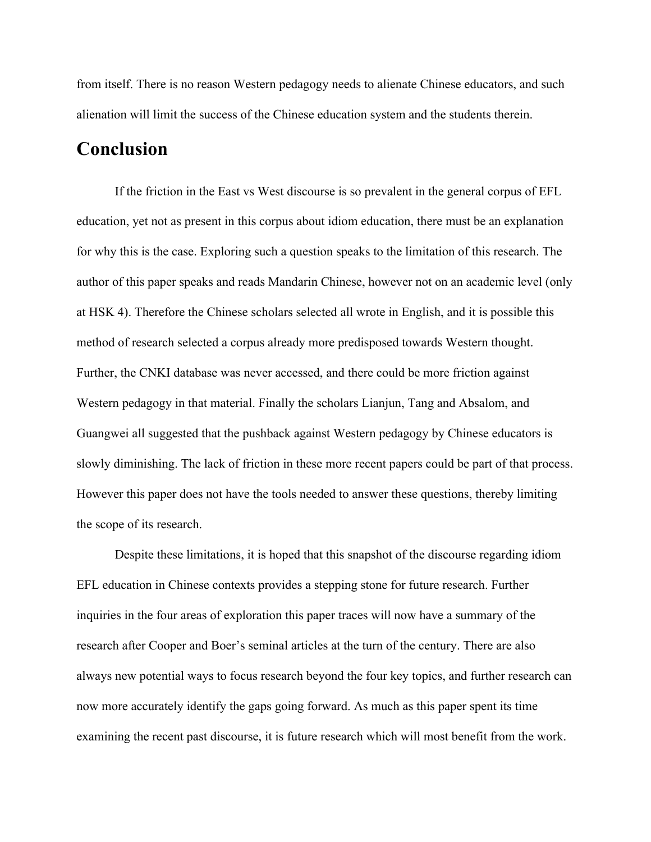from itself. There is no reason Western pedagogy needs to alienate Chinese educators, and such alienation will limit the success of the Chinese education system and the students therein.

## **Conclusion**

If the friction in the East vs West discourse is so prevalent in the general corpus of EFL education, yet not as present in this corpus about idiom education, there must be an explanation for why this is the case. Exploring such a question speaks to the limitation of this research. The author of this paper speaks and reads Mandarin Chinese, however not on an academic level (only at HSK 4). Therefore the Chinese scholars selected all wrote in English, and it is possible this method of research selected a corpus already more predisposed towards Western thought. Further, the CNKI database was never accessed, and there could be more friction against Western pedagogy in that material. Finally the scholars Lianjun, Tang and Absalom, and Guangwei all suggested that the pushback against Western pedagogy by Chinese educators is slowly diminishing. The lack of friction in these more recent papers could be part of that process. However this paper does not have the tools needed to answer these questions, thereby limiting the scope of its research.

Despite these limitations, it is hoped that this snapshot of the discourse regarding idiom EFL education in Chinese contexts provides a stepping stone for future research. Further inquiries in the four areas of exploration this paper traces will now have a summary of the research after Cooper and Boer's seminal articles at the turn of the century. There are also always new potential ways to focus research beyond the four key topics, and further research can now more accurately identify the gaps going forward. As much as this paper spent its time examining the recent past discourse, it is future research which will most benefit from the work.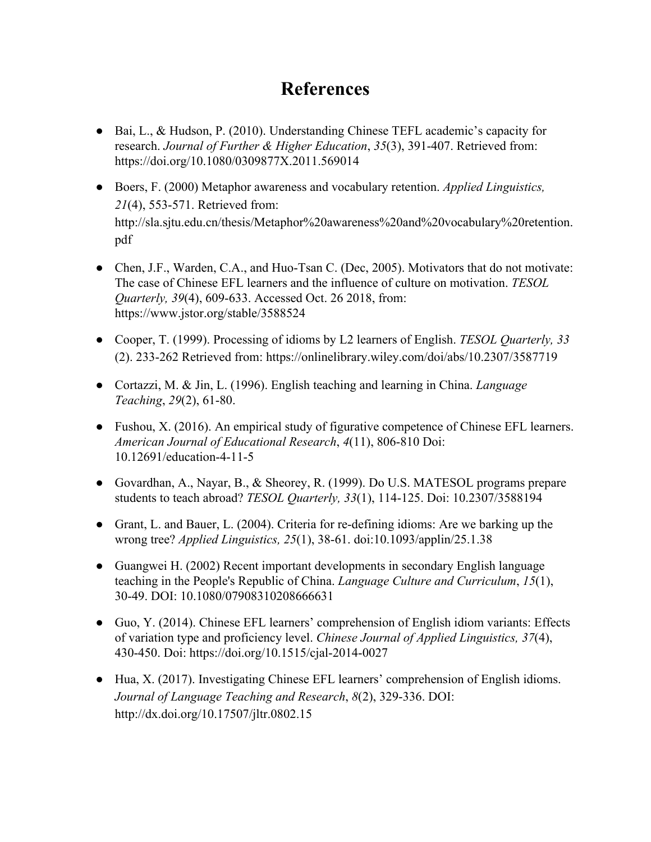# **References**

- Bai, L., & Hudson, P. (2010). Understanding Chinese TEFL academic's capacity for research. *Journal of Further & Higher Education*, *35*(3), 391-407. Retrieved from: https://doi.org/10.1080/0309877X.2011.569014
- Boers, F. (2000) Metaphor awareness and vocabulary retention. *Applied Linguistics, 21*(4), 553-571. Retrieved from: http://sla.sjtu.edu.cn/thesis/Metaphor%20awareness%20and%20vocabulary%20retention. pdf
- Chen, J.F., Warden, C.A., and Huo-Tsan C. (Dec, 2005). Motivators that do not motivate: The case of Chinese EFL learners and the influence of culture on motivation. *TESOL Quarterly, 39*(4), 609-633. Accessed Oct. 26 2018, from: https://www.jstor.org/stable/3588524
- Cooper, T. (1999). Processing of idioms by L2 learners of English. *TESOL Quarterly, 33* (2). 233-262 Retrieved from: https://onlinelibrary.wiley.com/doi/abs/10.2307/3587719
- Cortazzi, M. & Jin, L. (1996). English teaching and learning in China. *Language Teaching*, *29*(2), 61-80.
- Fushou, X. (2016). An empirical study of figurative competence of Chinese EFL learners. *American Journal of Educational Research*, *4*(11), 806-810 Doi: 10.12691/education-4-11-5
- Govardhan, A., Nayar, B., & Sheorey, R. (1999). Do U.S. MATESOL programs prepare students to teach abroad? *TESOL Quarterly, 33*(1), 114-125. Doi: 10.2307/3588194
- Grant, L. and Bauer, L. (2004). Criteria for re-defining idioms: Are we barking up the wrong tree? *Applied Linguistics, 25*(1), 38-61. doi:10.1093/applin/25.1.38
- Guangwei H. (2002) Recent important developments in secondary English language teaching in the People's Republic of China. *Language Culture and Curriculum*, *15*(1), 30-49. DOI: 10.1080/07908310208666631
- Guo, Y. (2014). Chinese EFL learners' comprehension of English idiom variants: Effects of variation type and proficiency level. *Chinese Journal of Applied Linguistics, 37*(4), 430-450. Doi: https://doi.org/10.1515/cjal-2014-0027
- Hua, X. (2017). Investigating Chinese EFL learners' comprehension of English idioms. *Journal of Language Teaching and Research*, *8*(2), 329-336. DOI: http://dx.doi.org/10.17507/jltr.0802.15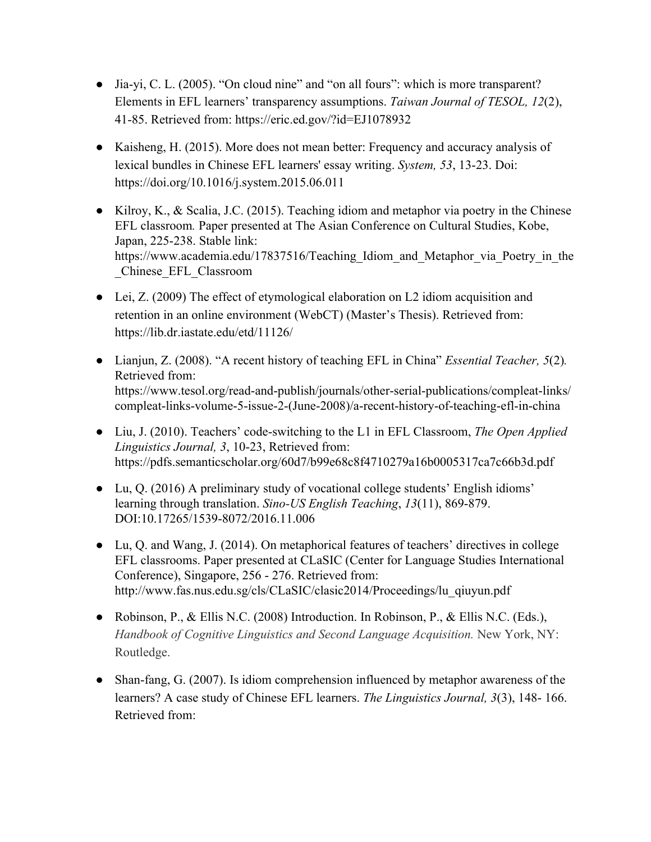- Jia-yi, C. L. (2005). "On cloud nine" and "on all fours": which is more transparent? Elements in EFL learners' transparency assumptions. *Taiwan Journal of TESOL, 12*(2), 41-85. Retrieved from: https://eric.ed.gov/?id=EJ1078932
- Kaisheng, H. (2015). More does not mean better: Frequency and accuracy analysis of lexical bundles in Chinese EFL learners' essay writing. *System, 53*, 13-23. Doi: https://doi.org/10.1016/j.system.2015.06.011
- Kilroy, K., & Scalia, J.C. (2015). Teaching idiom and metaphor via poetry in the Chinese EFL classroom*.* Paper presented at The Asian Conference on Cultural Studies, Kobe, Japan, 225-238. Stable link: https://www.academia.edu/17837516/Teaching Idiom and Metaphor via Poetry in the \_Chinese\_EFL\_Classroom
- Lei, Z. (2009) The effect of etymological elaboration on L2 idiom acquisition and retention in an online environment (WebCT) (Master's Thesis). Retrieved from: https://lib.dr.iastate.edu/etd/11126/
- Lianjun, Z. (2008). "A recent history of teaching EFL in China" *Essential Teacher, 5*(2)*.* Retrieved from: https://www.tesol.org/read-and-publish/journals/other-serial-publications/compleat-links/ compleat-links-volume-5-issue-2-(June-2008)/a-recent-history-of-teaching-efl-in-china
- Liu, J. (2010). Teachers' code-switching to the L1 in EFL Classroom, *The Open Applied Linguistics Journal, 3*, 10-23, Retrieved from: https://pdfs.semanticscholar.org/60d7/b99e68c8f4710279a16b0005317ca7c66b3d.pdf
- Lu, Q. (2016) A preliminary study of vocational college students' English idioms' learning through translation. *Sino-US English Teaching*, *13*(11), 869-879. DOI:10.17265/1539-8072/2016.11.006
- Lu, Q. and Wang, J. (2014). On metaphorical features of teachers' directives in college EFL classrooms. Paper presented at CLaSIC (Center for Language Studies International Conference), Singapore, 256 - 276. Retrieved from: http://www.fas.nus.edu.sg/cls/CLaSIC/clasic2014/Proceedings/lu\_qiuyun.pdf
- Robinson, P., & Ellis N.C. (2008) Introduction. In Robinson, P., & Ellis N.C. (Eds.), *Handbook of Cognitive Linguistics and Second Language Acquisition.* New York, NY: Routledge.
- Shan-fang, G. (2007). Is idiom comprehension influenced by metaphor awareness of the learners? A case study of Chinese EFL learners. *The Linguistics Journal, 3*(3), 148- 166. Retrieved from: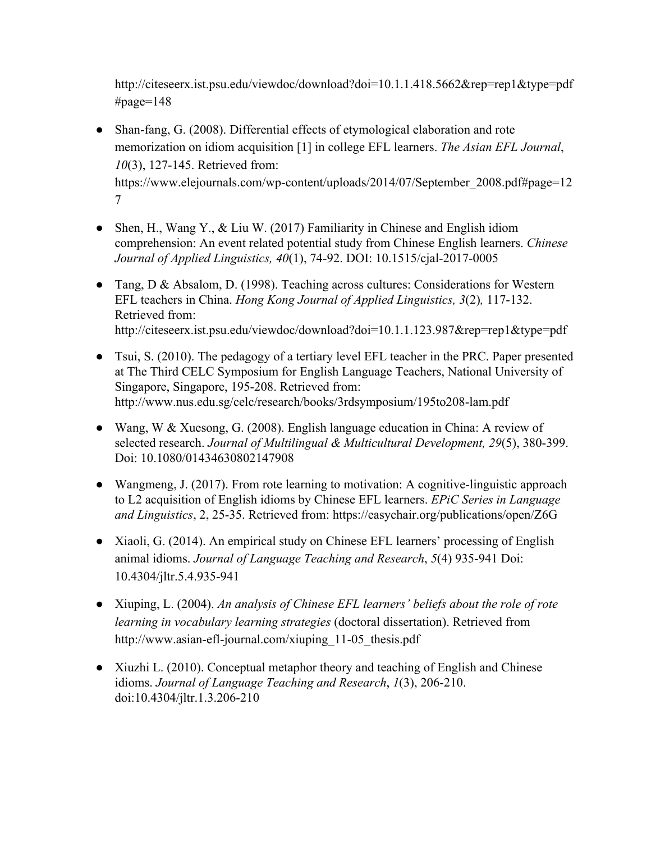http://citeseerx.ist.psu.edu/viewdoc/download?doi=10.1.1.418.5662&rep=rep1&type=pdf #page=148

- Shan-fang, G. (2008). Differential effects of etymological elaboration and rote memorization on idiom acquisition [1] in college EFL learners. *The Asian EFL Journal*, *10*(3), 127-145. Retrieved from: https://www.elejournals.com/wp-content/uploads/2014/07/September\_2008.pdf#page=12 7
- Shen, H., Wang Y., & Liu W. (2017) Familiarity in Chinese and English idiom comprehension: An event related potential study from Chinese English learners. *Chinese Journal of Applied Linguistics, 40*(1), 74-92. DOI: 10.1515/cjal-2017-0005
- Tang, D & Absalom, D. (1998). Teaching across cultures: Considerations for Western EFL teachers in China. *Hong Kong Journal of Applied Linguistics, 3*(2)*,* 117-132. Retrieved from: http://citeseerx.ist.psu.edu/viewdoc/download?doi=10.1.1.123.987&rep=rep1&type=pdf
- Tsui, S. (2010). The pedagogy of a tertiary level EFL teacher in the PRC. Paper presented at The Third CELC Symposium for English Language Teachers, National University of Singapore, Singapore, 195-208. Retrieved from: http://www.nus.edu.sg/celc/research/books/3rdsymposium/195to208-lam.pdf
- Wang, W & Xuesong, G. (2008). English language education in China: A review of selected research. *Journal of Multilingual & Multicultural Development, 29*(5), 380-399. Doi: 10.1080/01434630802147908
- Wangmeng, J. (2017). From rote learning to motivation: A cognitive-linguistic approach to L2 acquisition of English idioms by Chinese EFL learners. *EPiC Series in Language and Linguistics*, 2, 25-35. Retrieved from: https://easychair.org/publications/open/Z6G
- Xiaoli, G. (2014). An empirical study on Chinese EFL learners' processing of English animal idioms. *Journal of Language Teaching and Research*, *5*(4) 935-941 Doi: 10.4304/jltr.5.4.935-941
- Xiuping, L. (2004). *An analysis of Chinese EFL learners' beliefs about the role of rote learning in vocabulary learning strategies* (doctoral dissertation). Retrieved from http://www.asian-efl-journal.com/xiuping\_11-05\_thesis.pdf
- Xiuzhi L. (2010). Conceptual metaphor theory and teaching of English and Chinese idioms. *Journal of Language Teaching and Research*, *1*(3), 206-210. doi:10.4304/jltr.1.3.206-210